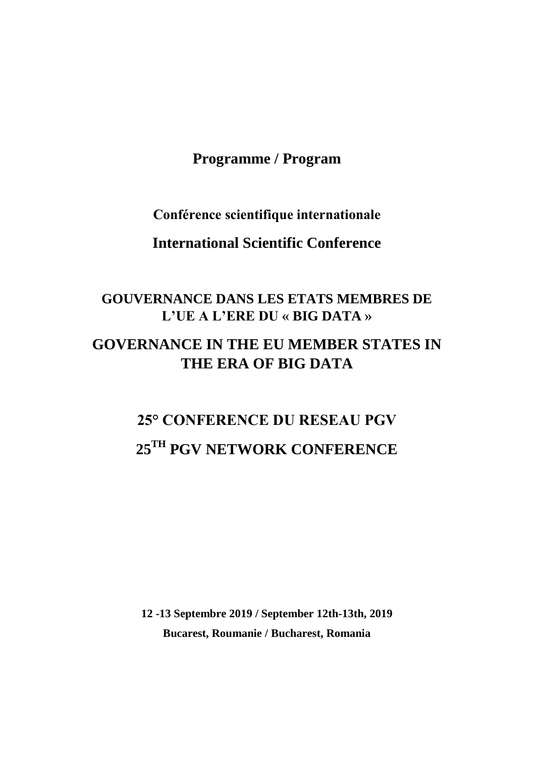**Programme / Program**

**Conférence scientifique internationale**

**International Scientific Conference**

## **GOUVERNANCE DANS LES ETATS MEMBRES DE L'UE A L'ERE DU « BIG DATA »**

### **GOVERNANCE IN THE EU MEMBER STATES IN THE ERA OF BIG DATA**

# **25° CONFERENCE DU RESEAU PGV 25TH PGV NETWORK CONFERENCE**

**12 -13 Septembre 2019 / September 12th-13th, 2019 Bucarest, Roumanie / Bucharest, Romania**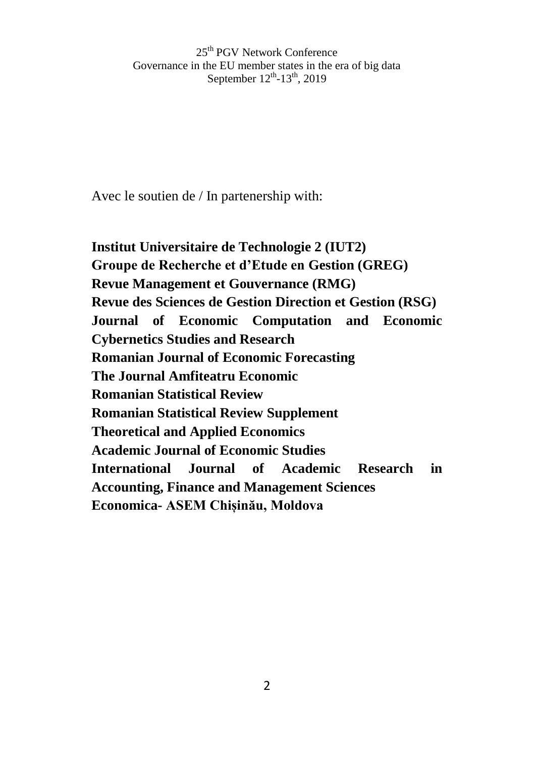Avec le soutien de / In partenership with:

**Institut Universitaire de Technologie 2 (IUT2) Groupe de Recherche et d'Etude en Gestion (GREG) Revue Management et Gouvernance (RMG) Revue des Sciences de Gestion Direction et Gestion (RSG) Journal of Economic Computation and Economic Cybernetics Studies and Research Romanian Journal of Economic Forecasting The Journal Amfiteatru Economic Romanian Statistical Review Romanian Statistical Review Supplement Theoretical and Applied Economics Academic Journal of Economic Studies International Journal of Academic Research in Accounting, Finance and Management Sciences Economica- ASEM Chișinău, Moldova**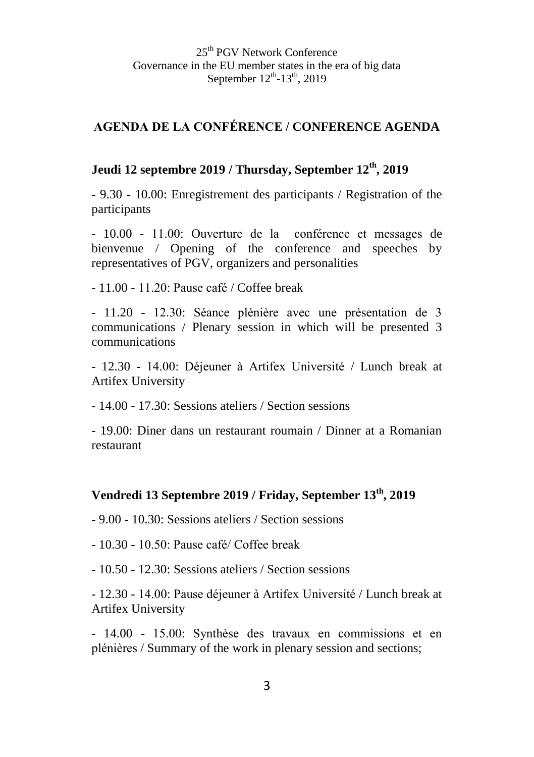### **AGENDA DE LA CONFÉRENCE / CONFERENCE AGENDA**

### **Jeudi 12 septembre 2019 / Thursday, September 12th, 2019**

- 9.30 - 10.00: Enregistrement des participants / Registration of the participants

- 10.00 - 11.00: Ouverture de la conférence et messages de bienvenue / Opening of the conference and speeches by representatives of PGV, organizers and personalities

- 11.00 - 11.20: Pause café / Coffee break

- 11.20 - 12.30: Séance plénière avec une présentation de 3 communications / Plenary session in which will be presented 3 communications

- 12.30 - 14.00: Déjeuner à Artifex Université / Lunch break at Artifex University

- 14.00 - 17.30: Sessions ateliers / Section sessions

- 19.00: Diner dans un restaurant roumain / Dinner at a Romanian restaurant

#### **Vendredi 13 Septembre 2019 / Friday, September 13th, 2019**

- 9.00 - 10.30: Sessions ateliers / Section sessions

- 10.30 - 10.50: Pause café/ Coffee break

- 10.50 - 12.30: Sessions ateliers / Section sessions

- 12.30 - 14.00: Pause déjeuner à Artifex Université / Lunch break at Artifex University

- 14.00 - 15.00: Synthèse des travaux en commissions et en plénières / Summary of the work in plenary session and sections;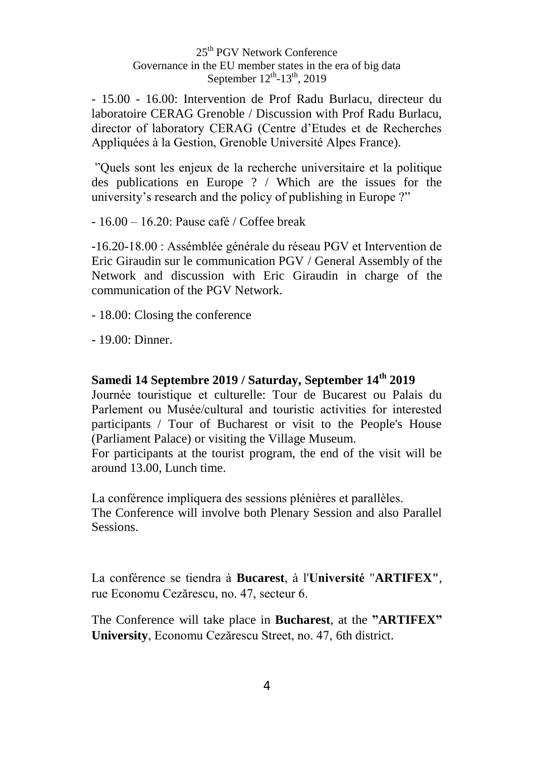- 15.00 - 16.00: Intervention de Prof Radu Burlacu, directeur du laboratoire CERAG Grenoble / Discussion with Prof Radu Burlacu, director of laboratory CERAG (Centre d'Etudes et de Recherches Appliquées à la Gestion, Grenoble Université Alpes France).

"Quels sont les enjeux de la recherche universitaire et la politique des publications en Europe ? / Which are the issues for the university's research and the policy of publishing in Europe ?"

- 16.00 – 16.20: Pause café / Coffee break

-16.20-18.00 : Assémblée générale du réseau PGV et Intervention de Eric Giraudin sur le communication PGV / General Assembly of the Network and discussion with Eric Giraudin in charge of the communication of the PGV Network.

- 18.00: Closing the conference

- 19.00: Dinner.

#### **Samedi 14 Septembre 2019 / Saturday, September 14th 2019**

Journée touristique et culturelle: Tour de Bucarest ou Palais du Parlement ou Musée/cultural and touristic activities for interested participants / Tour of Bucharest or visit to the People's House (Parliament Palace) or visiting the Village Museum.

For participants at the tourist program, the end of the visit will be around 13.00, Lunch time.

La conférence impliquera des sessions plénières et parallèles. The Conference will involve both Plenary Session and also Parallel Sessions.

La conférence se tiendra à **Bucarest**, à l'**Université** "**ARTIFEX"**, rue Economu Cezărescu, no. 47, secteur 6.

The Conference will take place in **Bucharest**, at the **"ARTIFEX" University**, Economu Cezărescu Street, no. 47, 6th district.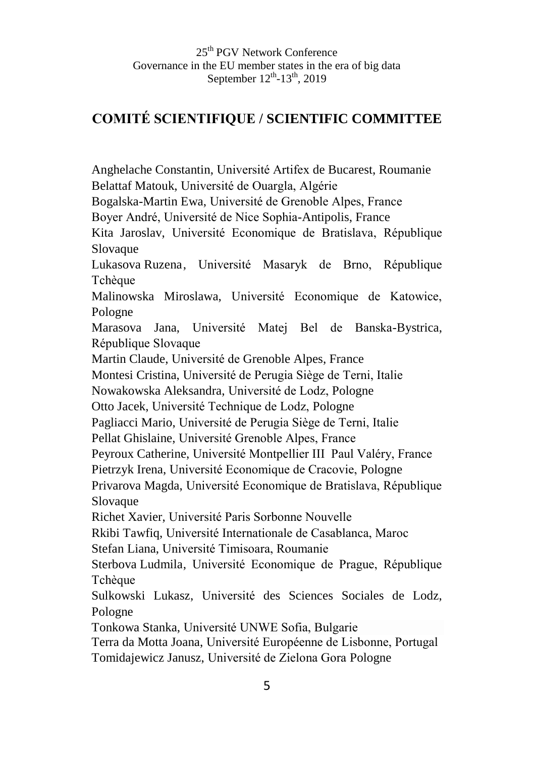### **COMITÉ SCIENTIFIQUE / SCIENTIFIC COMMITTEE**

Anghelache Constantin, Université Artifex de Bucarest, Roumanie Belattaf Matouk, Université de Ouargla, Algérie Bogalska-Martin Ewa, Université de Grenoble Alpes, France Boyer André, Université de Nice Sophia-Antipolis, France

Kita Jaroslav, Université Economique de Bratislava, République Slovaque

Lukasova Ruzena, Université Masaryk de Brno, République **Tchèque** 

Malinowska Miroslawa, Université Economique de Katowice, Pologne

Marasova Jana, Université Matej Bel de Banska-Bystrica, République Slovaque

Martin Claude, Université de Grenoble Alpes, France

Montesi Cristina, Université de Perugia Siège de Terni, Italie

Nowakowska Aleksandra, Université de Lodz, Pologne

Otto Jacek, Université Technique de Lodz, Pologne

Pagliacci Mario, Université de Perugia Siège de Terni, Italie

Pellat Ghislaine, Université Grenoble Alpes, France

Peyroux Catherine, Université Montpellier III Paul Valéry, France

Pietrzyk Irena, Université Economique de Cracovie, Pologne

Privarova Magda, Université Economique de Bratislava, République Slovaque

Richet Xavier, Université Paris Sorbonne Nouvelle

Rkibi Tawfiq, Université Internationale de Casablanca, Maroc

Stefan Liana, Université Timisoara, Roumanie

Sterbova Ludmila, Université Economique de Prague, République Tchèque

Sulkowski Lukasz, Université des Sciences Sociales de Lodz, Pologne

Tonkowa Stanka, Université UNWE Sofia, Bulgarie

Terra da Motta Joana, Université Européenne de Lisbonne, Portugal Tomidajewicz Janusz, Université de Zielona Gora Pologne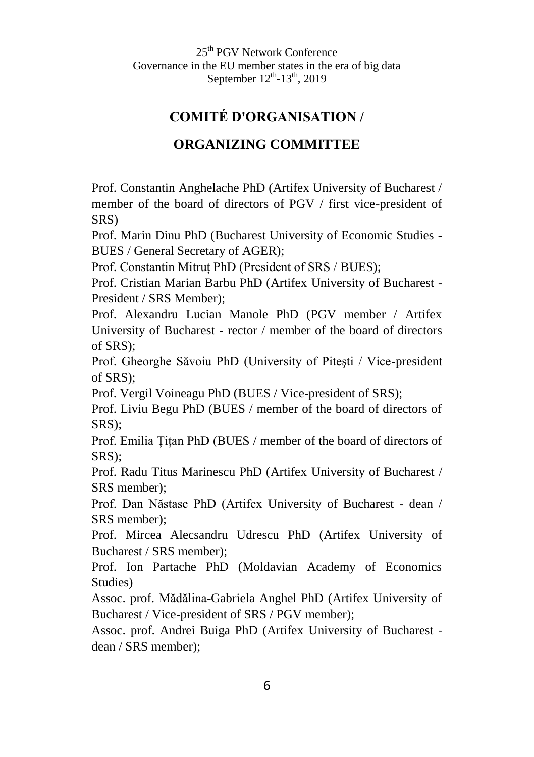### **COMITÉ D'ORGANISATION /**

### **ORGANIZING COMMITTEE**

Prof. Constantin Anghelache PhD (Artifex University of Bucharest / member of the board of directors of PGV / first vice-president of SRS)

Prof. Marin Dinu PhD (Bucharest University of Economic Studies - BUES / General Secretary of AGER);

Prof. Constantin Mitruț PhD (President of SRS / BUES);

Prof. Cristian Marian Barbu PhD (Artifex University of Bucharest - President / SRS Member);

Prof. Alexandru Lucian Manole PhD (PGV member / Artifex University of Bucharest - rector / member of the board of directors of SRS);

Prof. Gheorghe Săvoiu PhD (University of Piteşti / Vice-president of SRS);

Prof. Vergil Voineagu PhD (BUES / Vice-president of SRS);

Prof. Liviu Begu PhD (BUES / member of the board of directors of SRS);

Prof. Emilia Țițan PhD (BUES / member of the board of directors of SRS);

Prof. Radu Titus Marinescu PhD (Artifex University of Bucharest / SRS member);

Prof. Dan Năstase PhD (Artifex University of Bucharest - dean / SRS member);

Prof. Mircea Alecsandru Udrescu PhD (Artifex University of Bucharest / SRS member);

Prof. Ion Partache PhD (Moldavian Academy of Economics Studies)

Assoc. prof. Mădălina-Gabriela Anghel PhD (Artifex University of Bucharest / Vice-president of SRS / PGV member);

Assoc. prof. Andrei Buiga PhD (Artifex University of Bucharest dean / SRS member);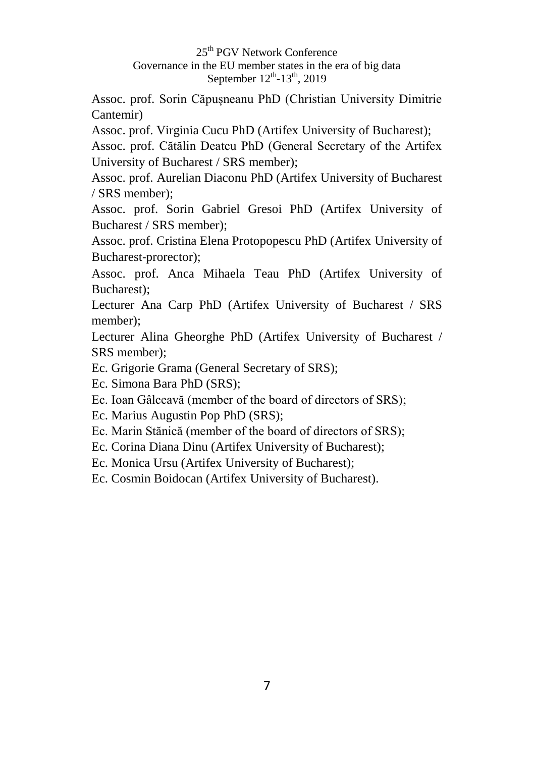Assoc. prof. Sorin Căpușneanu PhD (Christian University Dimitrie Cantemir)

Assoc. prof. Virginia Cucu PhD (Artifex University of Bucharest);

Assoc. prof. Cătălin Deatcu PhD (General Secretary of the Artifex University of Bucharest / SRS member);

Assoc. prof. Aurelian Diaconu PhD (Artifex University of Bucharest / SRS member);

Assoc. prof. Sorin Gabriel Gresoi PhD (Artifex University of Bucharest / SRS member);

Assoc. prof. Cristina Elena Protopopescu PhD (Artifex University of Bucharest-prorector);

Assoc. prof. Anca Mihaela Teau PhD (Artifex University of Bucharest);

Lecturer Ana Carp PhD (Artifex University of Bucharest / SRS member);

Lecturer Alina Gheorghe PhD (Artifex University of Bucharest / SRS member);

Ec. Grigorie Grama (General Secretary of SRS);

Ec. Simona Bara PhD (SRS);

Ec. Ioan Gâlceavă (member of the board of directors of SRS);

Ec. Marius Augustin Pop PhD (SRS);

Ec. Marin Stănică (member of the board of directors of SRS);

Ec. Corina Diana Dinu (Artifex University of Bucharest);

Ec. Monica Ursu (Artifex University of Bucharest);

Ec. Cosmin Boidocan (Artifex University of Bucharest).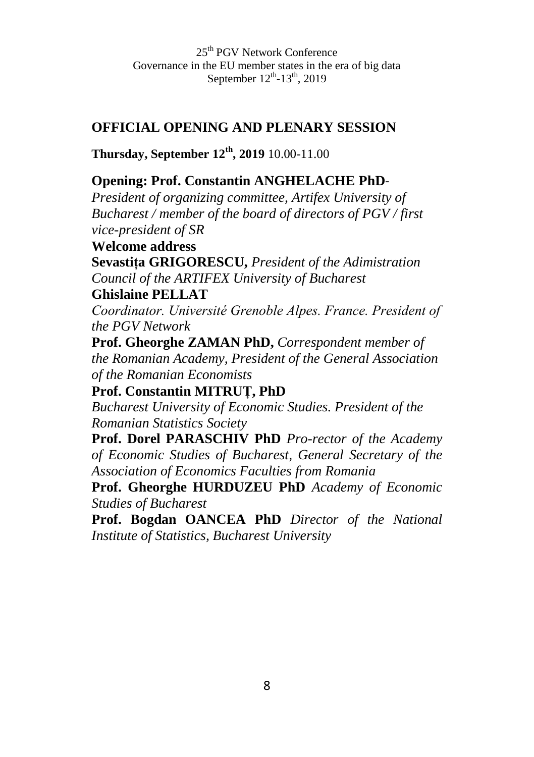### **OFFICIAL OPENING AND PLENARY SESSION**

**Thursday, September 12th, 2019** 10.00-11.00

### **Opening: Prof. Constantin ANGHELACHE PhD**-

*President of organizing committee, Artifex University of Bucharest / member of the board of directors of PGV / first vice-president of SR*

**Welcome address Sevastița GRIGORESCU,** *President of the Adimistration Council of the ARTIFEX University of Bucharest*

#### **Ghislaine PELLAT**

*Coordinator. Université Grenoble Alpes. France. President of the PGV Network*

**Prof. Gheorghe ZAMAN PhD,** *Correspondent member of the Romanian Academy, President of the General Association of the Romanian Economists*

**Prof. Constantin MITRUȚ, PhD** *Bucharest University of Economic Studies. President of the Romanian Statistics Society*

**Prof. Dorel PARASCHIV PhD** *Pro-rector of the Academy of Economic Studies of Bucharest, General Secretary of the Association of Economics Faculties from Romania*

**Prof. Gheorghe HURDUZEU PhD** *Academy of Economic Studies of Bucharest*

**Prof. Bogdan OANCEA PhD** *Director of the National Institute of Statistics, Bucharest University*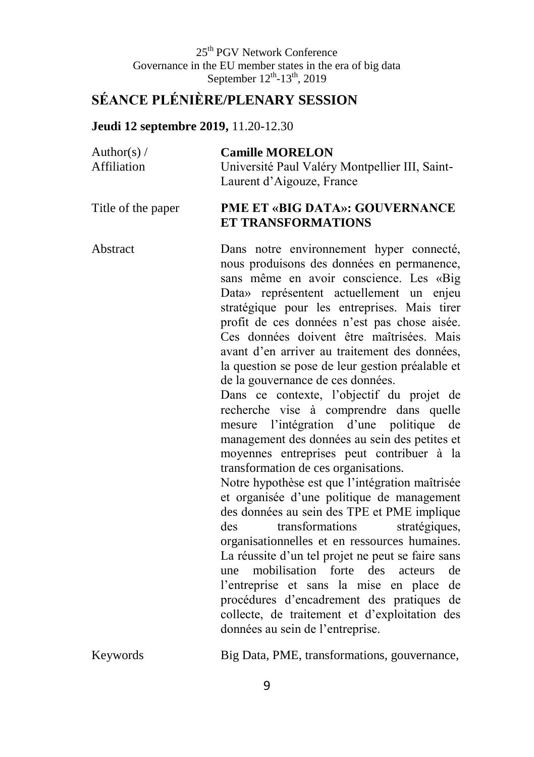### **SÉANCE PLÉNIÈRE/PLENARY SESSION**

#### **Jeudi 12 septembre 2019,** 11.20-12.30

| Author(s) $/$ | <b>Camille MORELON</b>                         |
|---------------|------------------------------------------------|
| Affiliation   | Université Paul Valéry Montpellier III, Saint- |
|               | Laurent d'Aigouze, France                      |

#### Title of the paper **PME ET «BIG DATA»: GOUVERNANCE ET TRANSFORMATIONS**

Abstract Dans notre environnement hyper connecté, nous produisons des données en permanence, sans même en avoir conscience. Les «Big Data» représentent actuellement un enjeu stratégique pour les entreprises. Mais tirer profit de ces données n'est pas chose aisée. Ces données doivent être maîtrisées. Mais avant d'en arriver au traitement des données, la question se pose de leur gestion préalable et de la gouvernance de ces données. Dans ce contexte, l'objectif du projet de recherche vise à comprendre dans quelle

mesure l'intégration d'une politique de management des données au sein des petites et moyennes entreprises peut contribuer à la transformation de ces organisations.

Notre hypothèse est que l'intégration maîtrisée et organisée d'une politique de management des données au sein des TPE et PME implique des transformations stratégiques, organisationnelles et en ressources humaines. La réussite d'un tel projet ne peut se faire sans une mobilisation forte des acteurs de l'entreprise et sans la mise en place de procédures d'encadrement des pratiques de collecte, de traitement et d'exploitation des données au sein de l'entreprise.

Keywords Big Data, PME, transformations, gouvernance,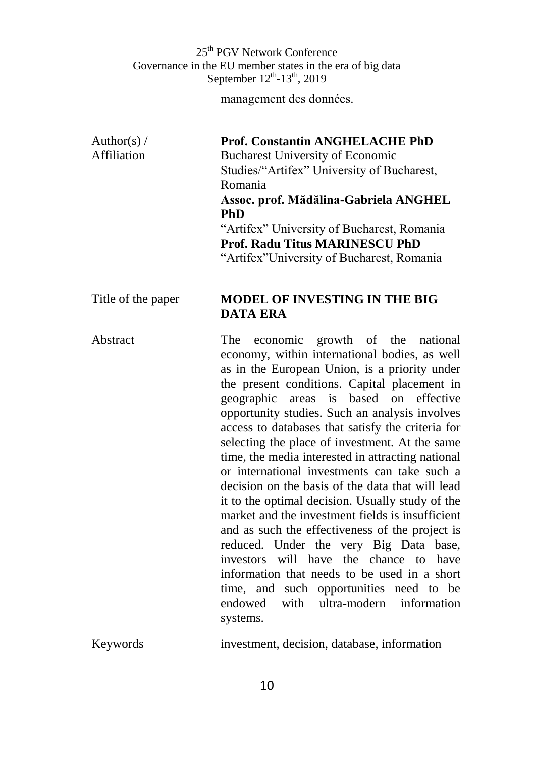management des données.

Author(s) / Affiliation **Prof. Constantin ANGHELACHE PhD** Bucharest University of Economic Studies/"Artifex" University of Bucharest, Romania **Assoc. prof. Mădălina-Gabriela ANGHEL PhD** "Artifex" University of Bucharest, Romania **Prof. Radu Titus MARINESCU PhD**  "Artifex"University of Bucharest, Romania

#### Title of the paper **MODEL OF INVESTING IN THE BIG DATA ERA**

Abstract The economic growth of the national economy, within international bodies, as well as in the European Union, is a priority under the present conditions. Capital placement in geographic areas is based on effective opportunity studies. Such an analysis involves access to databases that satisfy the criteria for selecting the place of investment. At the same time, the media interested in attracting national or international investments can take such a decision on the basis of the data that will lead it to the optimal decision. Usually study of the market and the investment fields is insufficient and as such the effectiveness of the project is reduced. Under the very Big Data base, investors will have the chance to have information that needs to be used in a short time, and such opportunities need to be endowed with ultra-modern information systems.

Keywords investment, decision, database, information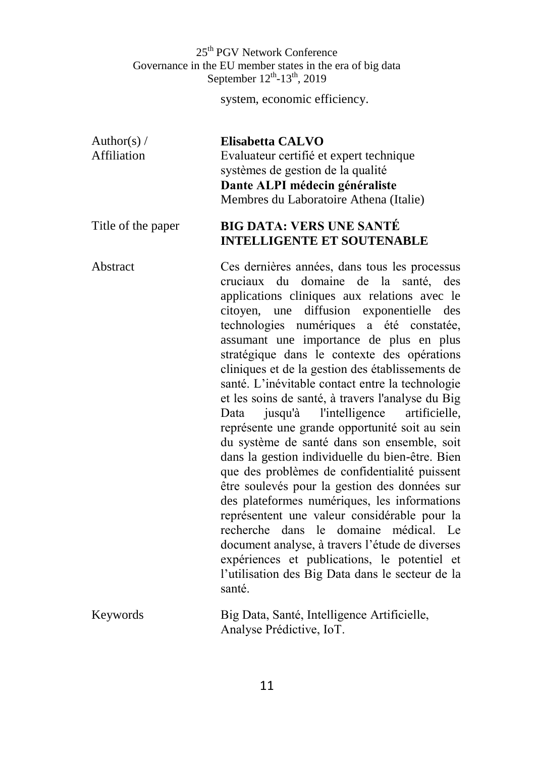system, economic efficiency.

| Author(s) $/$ | Elisabetta CALVO                        |
|---------------|-----------------------------------------|
| Affiliation   | Evaluateur certifié et expert technique |
|               | systèmes de gestion de la qualité       |
|               | Dante ALPI médecin généraliste          |
|               | Membres du Laboratoire Athena (Italie)  |
|               |                                         |

#### Title of the paper **BIG DATA: VERS UNE SANTÉ INTELLIGENTE ET SOUTENABLE**

Abstract Ces dernières années, dans tous les processus cruciaux du domaine de la santé, des applications cliniques aux relations avec le citoyen, une diffusion exponentielle des technologies numériques a été constatée, assumant une importance de plus en plus stratégique dans le contexte des opérations cliniques et de la gestion des établissements de santé. L'inévitable contact entre la technologie et les soins de santé, à travers l'analyse du Big Data jusqu'à l'intelligence artificielle, représente une grande opportunité soit au sein du système de santé dans son ensemble, soit dans la gestion individuelle du bien-être. Bien que des problèmes de confidentialité puissent être soulevés pour la gestion des données sur des plateformes numériques, les informations représentent une valeur considérable pour la recherche dans le domaine médical. Le document analyse, à travers l'étude de diverses expériences et publications, le potentiel et l'utilisation des Big Data dans le secteur de la santé. Keywords Big Data, Santé, Intelligence Artificielle,

Analyse Prédictive, IoT.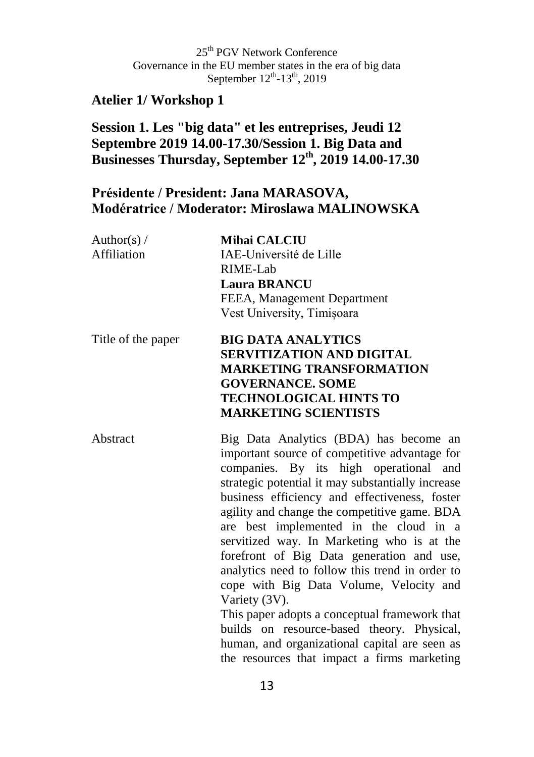### **Atelier 1/ Workshop 1**

### **Session 1. Les "big data" et les entreprises, Jeudi 12 Septembre 2019 14.00-17.30/Session 1. Big Data and Businesses Thursday, September 12th, 2019 14.00-17.30**

### **Présidente / President: Jana MARASOVA, Modératrice / Moderator: Miroslawa MALINOWSKA**

| Author(s) $/$<br>Affiliation | <b>Mihai CALCIU</b><br>IAE-Université de Lille<br>RIME-Lab<br><b>Laura BRANCU</b><br>FEEA, Management Department<br>Vest University, Timișoara                                                                                                                                                                                                                                                                                                                                                                                                                                                                                                                                                                                             |
|------------------------------|--------------------------------------------------------------------------------------------------------------------------------------------------------------------------------------------------------------------------------------------------------------------------------------------------------------------------------------------------------------------------------------------------------------------------------------------------------------------------------------------------------------------------------------------------------------------------------------------------------------------------------------------------------------------------------------------------------------------------------------------|
| Title of the paper           | <b>BIG DATA ANALYTICS</b><br><b>SERVITIZATION AND DIGITAL</b><br><b>MARKETING TRANSFORMATION</b><br><b>GOVERNANCE. SOME</b><br><b>TECHNOLOGICAL HINTS TO</b><br><b>MARKETING SCIENTISTS</b>                                                                                                                                                                                                                                                                                                                                                                                                                                                                                                                                                |
| Abstract                     | Big Data Analytics (BDA) has become an<br>important source of competitive advantage for<br>companies. By its high operational and<br>strategic potential it may substantially increase<br>business efficiency and effectiveness, foster<br>agility and change the competitive game. BDA<br>are best implemented in the cloud in a<br>servitized way. In Marketing who is at the<br>forefront of Big Data generation and use,<br>analytics need to follow this trend in order to<br>cope with Big Data Volume, Velocity and<br>Variety (3V).<br>This paper adopts a conceptual framework that<br>builds on resource-based theory. Physical,<br>human, and organizational capital are seen as<br>the resources that impact a firms marketing |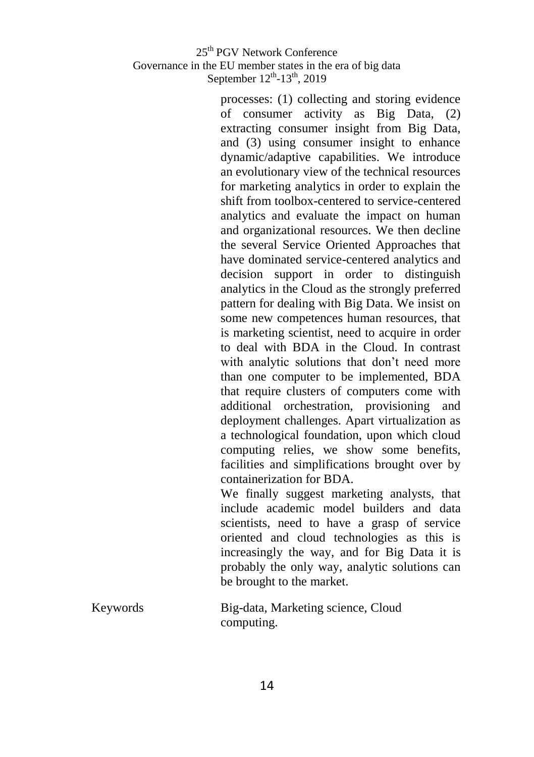processes: (1) collecting and storing evidence of consumer activity as Big Data, (2) extracting consumer insight from Big Data, and (3) using consumer insight to enhance dynamic/adaptive capabilities. We introduce an evolutionary view of the technical resources for marketing analytics in order to explain the shift from toolbox-centered to service-centered analytics and evaluate the impact on human and organizational resources. We then decline the several Service Oriented Approaches that have dominated service-centered analytics and decision support in order to distinguish analytics in the Cloud as the strongly preferred pattern for dealing with Big Data. We insist on some new competences human resources, that is marketing scientist, need to acquire in order to deal with BDA in the Cloud. In contrast with analytic solutions that don't need more than one computer to be implemented, BDA that require clusters of computers come with additional orchestration, provisioning and deployment challenges. Apart virtualization as a technological foundation, upon which cloud computing relies, we show some benefits, facilities and simplifications brought over by containerization for BDA.

We finally suggest marketing analysts, that include academic model builders and data scientists, need to have a grasp of service oriented and cloud technologies as this is increasingly the way, and for Big Data it is probably the only way, analytic solutions can be brought to the market.

| Keywords | Big-data, Marketing science, Cloud |
|----------|------------------------------------|
|          | computing.                         |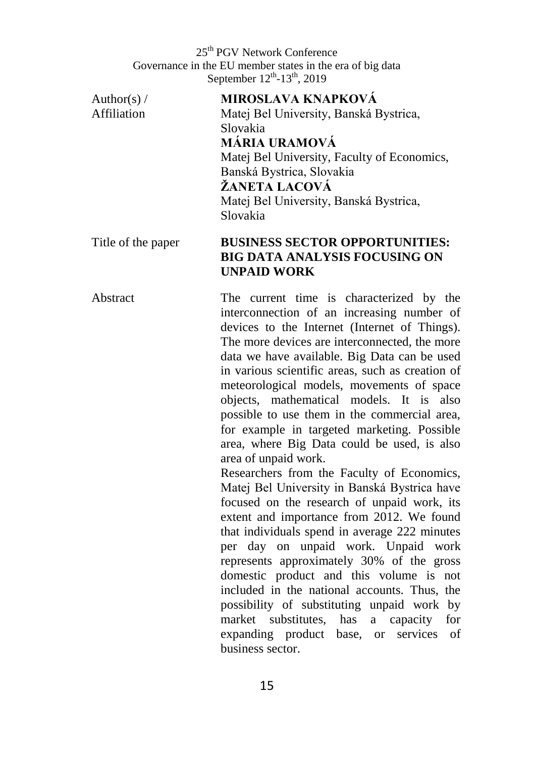Author(s)  $/$ Affiliation

#### **MIROSLAVA KNAPKOVÁ**

Matej Bel University, Banská Bystrica, Slovakia **MÁRIA URAMOVÁ** Matej Bel University, Faculty of Economics, Banská Bystrica, Slovakia **ŽANETA LACOVÁ**  Matej Bel University, Banská Bystrica, Slovakia

#### Title of the paper **BUSINESS SECTOR OPPORTUNITIES: BIG DATA ANALYSIS FOCUSING ON UNPAID WORK**

Abstract The current time is characterized by the interconnection of an increasing number of devices to the Internet (Internet of Things). The more devices are interconnected, the more data we have available. Big Data can be used in various scientific areas, such as creation of meteorological models, movements of space objects, mathematical models. It is also possible to use them in the commercial area, for example in targeted marketing. Possible area, where Big Data could be used, is also area of unpaid work.

Researchers from the Faculty of Economics, Matej Bel University in Banská Bystrica have focused on the research of unpaid work, its extent and importance from 2012. We found that individuals spend in average 222 minutes per day on unpaid work. Unpaid work represents approximately 30% of the gross domestic product and this volume is not included in the national accounts. Thus, the possibility of substituting unpaid work by market substitutes, has a capacity for expanding product base, or services of business sector.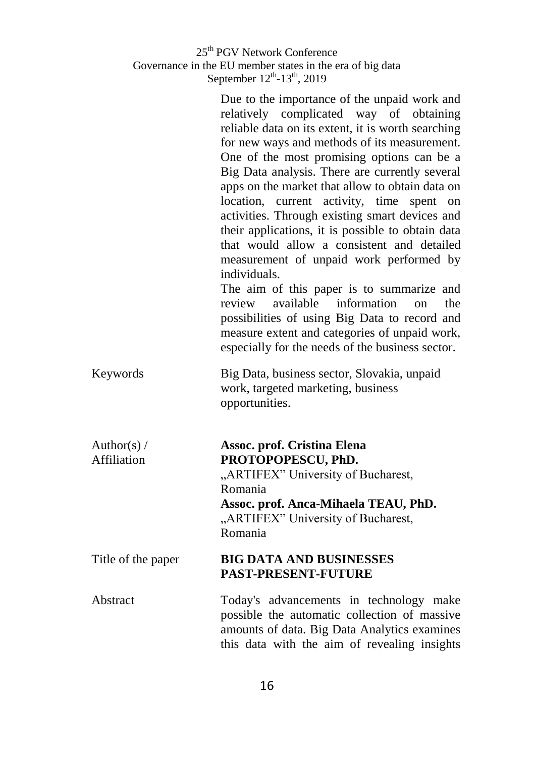|                              | 25 <sup>th</sup> PGV Network Conference<br>Governance in the EU member states in the era of big data<br>September 12 <sup>th</sup> -13 <sup>th</sup> , 2019                                                                                                                                                                                                                                                                                                                                                                                                                                                                                                                                                                                                                                                                                                            |
|------------------------------|------------------------------------------------------------------------------------------------------------------------------------------------------------------------------------------------------------------------------------------------------------------------------------------------------------------------------------------------------------------------------------------------------------------------------------------------------------------------------------------------------------------------------------------------------------------------------------------------------------------------------------------------------------------------------------------------------------------------------------------------------------------------------------------------------------------------------------------------------------------------|
|                              | Due to the importance of the unpaid work and<br>relatively complicated way of obtaining<br>reliable data on its extent, it is worth searching<br>for new ways and methods of its measurement.<br>One of the most promising options can be a<br>Big Data analysis. There are currently several<br>apps on the market that allow to obtain data on<br>location, current activity, time<br>spent on<br>activities. Through existing smart devices and<br>their applications, it is possible to obtain data<br>that would allow a consistent and detailed<br>measurement of unpaid work performed by<br>individuals.<br>The aim of this paper is to summarize and<br>information<br>review<br>available<br>the<br>on<br>possibilities of using Big Data to record and<br>measure extent and categories of unpaid work,<br>especially for the needs of the business sector. |
| Keywords                     | Big Data, business sector, Slovakia, unpaid<br>work, targeted marketing, business<br>opportunities.                                                                                                                                                                                                                                                                                                                                                                                                                                                                                                                                                                                                                                                                                                                                                                    |
| Author(s) $/$<br>Affiliation | Assoc. prof. Cristina Elena<br>PROTOPOPESCU, PhD.<br>"ARTIFEX" University of Bucharest,<br>Romania<br>Assoc. prof. Anca-Mihaela TEAU, PhD.<br>"ARTIFEX" University of Bucharest,<br>Romania                                                                                                                                                                                                                                                                                                                                                                                                                                                                                                                                                                                                                                                                            |
| Title of the paper           | <b>BIG DATA AND BUSINESSES</b><br><b>PAST-PRESENT-FUTURE</b>                                                                                                                                                                                                                                                                                                                                                                                                                                                                                                                                                                                                                                                                                                                                                                                                           |
| Abstract                     | Today's advancements in technology make<br>possible the automatic collection of massive<br>amounts of data. Big Data Analytics examines<br>this data with the aim of revealing insights                                                                                                                                                                                                                                                                                                                                                                                                                                                                                                                                                                                                                                                                                |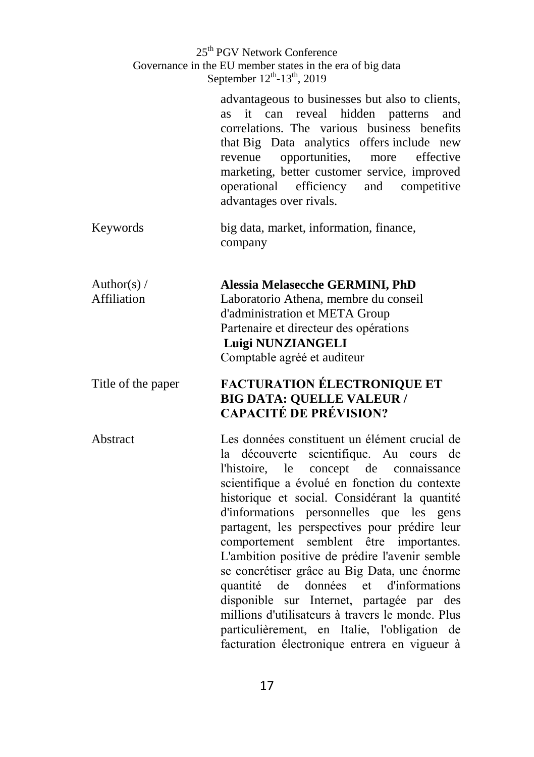|                              | 25 <sup>th</sup> PGV Network Conference<br>Governance in the EU member states in the era of big data<br>September 12 <sup>th</sup> -13 <sup>th</sup> , 2019                                                                                                                                                                                                                                                                                                                                                                                                                                                                                                                                                                           |
|------------------------------|---------------------------------------------------------------------------------------------------------------------------------------------------------------------------------------------------------------------------------------------------------------------------------------------------------------------------------------------------------------------------------------------------------------------------------------------------------------------------------------------------------------------------------------------------------------------------------------------------------------------------------------------------------------------------------------------------------------------------------------|
|                              | advantageous to businesses but also to clients,<br>can reveal hidden patterns<br><b>as</b><br>it<br>and<br>correlations. The various business benefits<br>that Big Data analytics offers include new<br>opportunities,<br>effective<br>revenue<br>more<br>marketing, better customer service, improved<br>efficiency and<br>operational<br>competitive<br>advantages over rivals.                                                                                                                                                                                                                                                                                                                                                     |
| Keywords                     | big data, market, information, finance,<br>company                                                                                                                                                                                                                                                                                                                                                                                                                                                                                                                                                                                                                                                                                    |
| Author(s) $/$<br>Affiliation | <b>Alessia Melasecche GERMINI, PhD</b><br>Laboratorio Athena, membre du conseil<br>d'administration et META Group<br>Partenaire et directeur des opérations<br>Luigi NUNZIANGELI<br>Comptable agréé et auditeur                                                                                                                                                                                                                                                                                                                                                                                                                                                                                                                       |
| Title of the paper           | <b>FACTURATION ÉLECTRONIQUE ET</b><br><b>BIG DATA: QUELLE VALEUR /</b><br><b>CAPACITÉ DE PRÉVISION?</b>                                                                                                                                                                                                                                                                                                                                                                                                                                                                                                                                                                                                                               |
| Abstract                     | Les données constituent un élément crucial de<br>scientifique. Au cours de<br>la découverte<br>concept de<br>l'histoire,<br>le<br>connaissance<br>scientifique a évolué en fonction du contexte<br>historique et social. Considérant la quantité<br>d'informations personnelles que les gens<br>partagent, les perspectives pour prédire leur<br>comportement semblent être importantes.<br>L'ambition positive de prédire l'avenir semble<br>se concrétiser grâce au Big Data, une énorme<br>quantité de données et d'informations<br>disponible sur Internet, partagée par des<br>millions d'utilisateurs à travers le monde. Plus<br>particulièrement, en Italie, l'obligation de<br>facturation électronique entrera en vigueur à |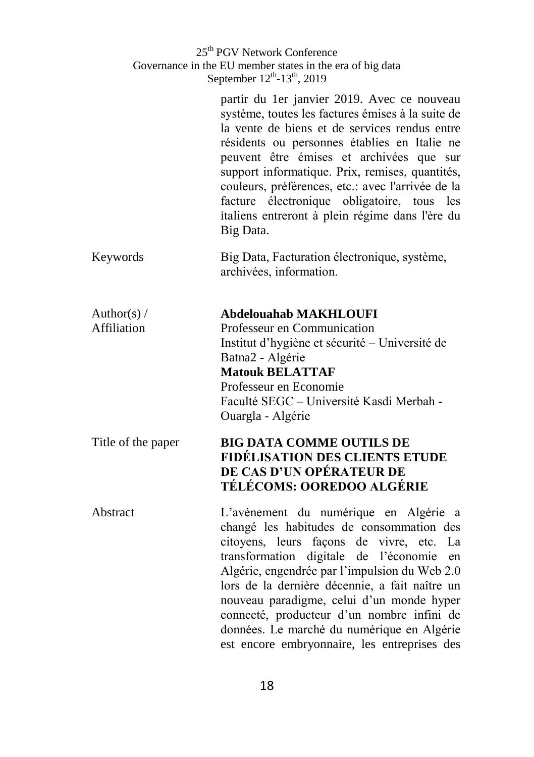|                              | 25 <sup>th</sup> PGV Network Conference<br>Governance in the EU member states in the era of big data<br>September 12 <sup>th</sup> -13 <sup>th</sup> , 2019                                                                                                                                                                                                                                                                                                                    |
|------------------------------|--------------------------------------------------------------------------------------------------------------------------------------------------------------------------------------------------------------------------------------------------------------------------------------------------------------------------------------------------------------------------------------------------------------------------------------------------------------------------------|
|                              | partir du 1er janvier 2019. Avec ce nouveau<br>système, toutes les factures émises à la suite de<br>la vente de biens et de services rendus entre<br>résidents ou personnes établies en Italie ne<br>peuvent être émises et archivées que sur<br>support informatique. Prix, remises, quantités,<br>couleurs, préférences, etc.: avec l'arrivée de la<br>facture électronique obligatoire, tous les<br>italiens entreront à plein régime dans l'ère du<br>Big Data.            |
| Keywords                     | Big Data, Facturation électronique, système,<br>archivées, information.                                                                                                                                                                                                                                                                                                                                                                                                        |
| Author(s) $/$<br>Affiliation | Abdelouahab MAKHLOUFI<br>Professeur en Communication<br>Institut d'hygiène et sécurité – Université de<br>Batna2 - Algérie<br><b>Matouk BELATTAF</b><br>Professeur en Economie<br>Faculté SEGC - Université Kasdi Merbah -<br>Ouargla - Algérie                                                                                                                                                                                                                                |
| Title of the paper           | <b>BIG DATA COMME OUTILS DE</b><br>FIDÉLISATION DES CLIENTS ETUDE<br>DE CAS D'UN OPÉRATEUR DE<br><b>TÉLÉCOMS: OOREDOO ALGÉRIE</b>                                                                                                                                                                                                                                                                                                                                              |
| Abstract                     | L'avènement du numérique en Algérie a<br>changé les habitudes de consommation des<br>citoyens, leurs façons<br>de vivre, etc.<br>La<br>transformation digitale de l'économie<br>en<br>Algérie, engendrée par l'impulsion du Web 2.0<br>lors de la dernière décennie, a fait naître un<br>nouveau paradigme, celui d'un monde hyper<br>connecté, producteur d'un nombre infini de<br>données. Le marché du numérique en Algérie<br>est encore embryonnaire, les entreprises des |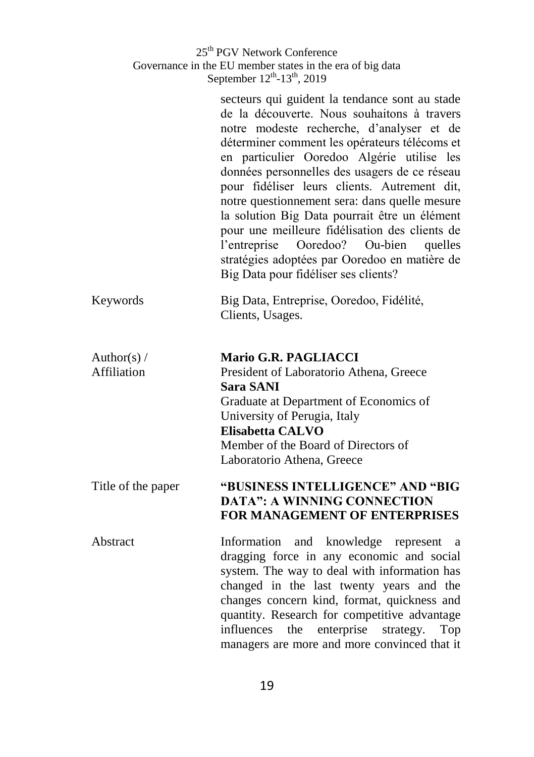|                              | 25 <sup>th</sup> PGV Network Conference<br>Governance in the EU member states in the era of big data<br>September 12 <sup>th</sup> -13 <sup>th</sup> , 2019                                                                                                                                                                                                                                                                                                                                                                                                                                                                            |
|------------------------------|----------------------------------------------------------------------------------------------------------------------------------------------------------------------------------------------------------------------------------------------------------------------------------------------------------------------------------------------------------------------------------------------------------------------------------------------------------------------------------------------------------------------------------------------------------------------------------------------------------------------------------------|
|                              | secteurs qui guident la tendance sont au stade<br>de la découverte. Nous souhaitons à travers<br>notre modeste recherche, d'analyser et de<br>déterminer comment les opérateurs télécoms et<br>en particulier Ooredoo Algérie utilise les<br>données personnelles des usagers de ce réseau<br>pour fidéliser leurs clients. Autrement dit,<br>notre questionnement sera: dans quelle mesure<br>la solution Big Data pourrait être un élément<br>pour une meilleure fidélisation des clients de<br>l'entreprise<br>Ooredoo? Ou-bien<br>quelles<br>stratégies adoptées par Ooredoo en matière de<br>Big Data pour fidéliser ses clients? |
| Keywords                     | Big Data, Entreprise, Ooredoo, Fidélité,<br>Clients, Usages.                                                                                                                                                                                                                                                                                                                                                                                                                                                                                                                                                                           |
| Author(s) $/$<br>Affiliation | <b>Mario G.R. PAGLIACCI</b><br>President of Laboratorio Athena, Greece<br><b>Sara SANI</b><br>Graduate at Department of Economics of<br>University of Perugia, Italy<br><b>Elisabetta CALVO</b><br>Member of the Board of Directors of<br>Laboratorio Athena, Greece                                                                                                                                                                                                                                                                                                                                                                   |
| Title of the paper           | "BUSINESS INTELLIGENCE" AND "BIG<br><b>DATA": A WINNING CONNECTION</b><br>FOR MANAGEMENT OF ENTERPRISES                                                                                                                                                                                                                                                                                                                                                                                                                                                                                                                                |
| Abstract                     | Information<br>and<br>knowledge represent<br>a<br>dragging force in any economic and social<br>system. The way to deal with information has<br>changed in the last twenty years and the<br>changes concern kind, format, quickness and<br>quantity. Research for competitive advantage<br>influences<br>the<br>enterprise<br>strategy.<br>Top<br>managers are more and more convinced that it                                                                                                                                                                                                                                          |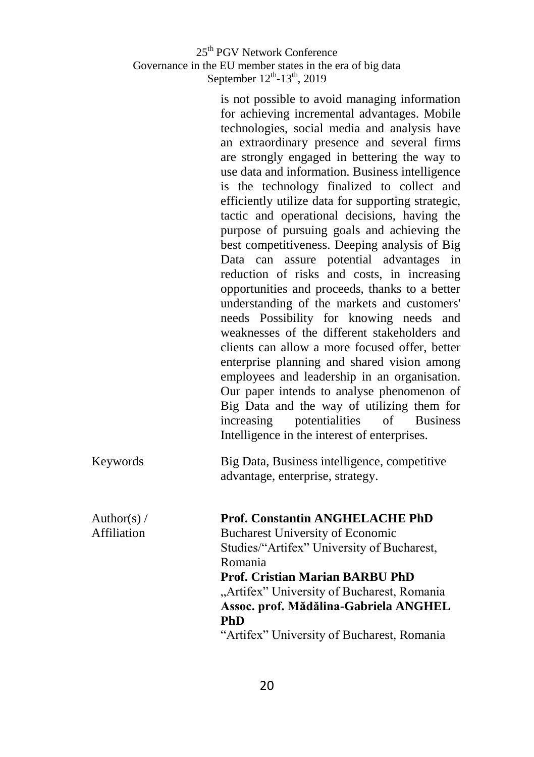| 25 <sup>th</sup> PGV Network Conference                   |
|-----------------------------------------------------------|
| Governance in the EU member states in the era of big data |
| September $12^{th}$ -13 <sup>th</sup> , 2019              |

is not possible to avoid managing information for achieving incremental advantages. Mobile technologies, social media and analysis have an extraordinary presence and several firms are strongly engaged in bettering the way to use data and information. Business intelligence is the technology finalized to collect and efficiently utilize data for supporting strategic, tactic and operational decisions, having the purpose of pursuing goals and achieving the best competitiveness. Deeping analysis of Big Data can assure potential advantages in reduction of risks and costs, in increasing opportunities and proceeds, thanks to a better understanding of the markets and customers' needs Possibility for knowing needs and weaknesses of the different stakeholders and clients can allow a more focused offer, better enterprise planning and shared vision among employees and leadership in an organisation. Our paper intends to analyse phenomenon of Big Data and the way of utilizing them for increasing potentialities of Business Intelligence in the interest of enterprises.

| Keywords | Big Data, Business intelligence, competitive |
|----------|----------------------------------------------|
|          | advantage, enterprise, strategy.             |

Author(s)  $/$ Affiliation

**Prof. Constantin ANGHELACHE PhD** Bucharest University of Economic Studies/"Artifex" University of Bucharest, Romania **Prof. Cristian Marian BARBU PhD** 

"Artifex" University of Bucharest, Romania **Assoc. prof. Mădălina-Gabriela ANGHEL PhD**

"Artifex" University of Bucharest, Romania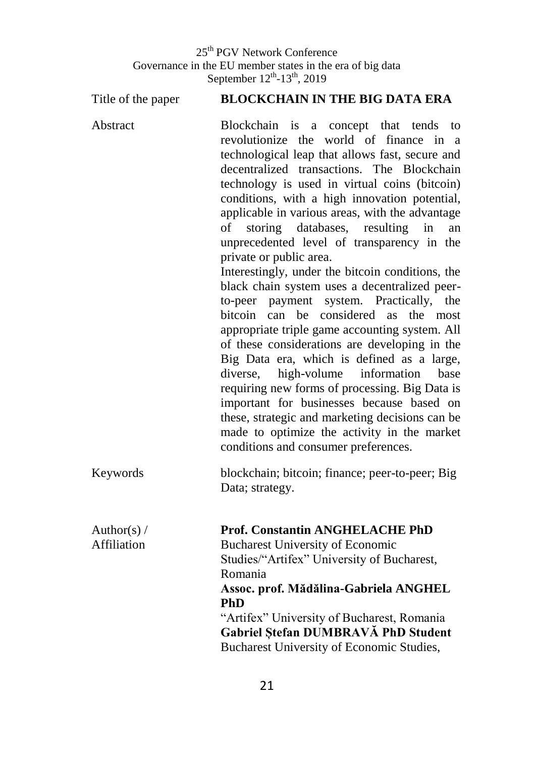Title of the paper **BLOCKCHAIN IN THE BIG DATA ERA** Abstract Blockchain is a concept that tends to revolutionize the world of finance in a technological leap that allows fast, secure and decentralized transactions. The Blockchain technology is used in virtual coins (bitcoin) conditions, with a high innovation potential, applicable in various areas, with the advantage of storing databases, resulting in an unprecedented level of transparency in the private or public area. Interestingly, under the bitcoin conditions, the black chain system uses a decentralized peerto-peer payment system. Practically, the bitcoin can be considered as the most appropriate triple game accounting system. All of these considerations are developing in the Big Data era, which is defined as a large, diverse, high-volume information base requiring new forms of processing. Big Data is important for businesses because based on these, strategic and marketing decisions can be made to optimize the activity in the market conditions and consumer preferences. Keywords blockchain; bitcoin; finance; peer-to-peer; Big Data; strategy. Author(s)  $/$ Affiliation **Prof. Constantin ANGHELACHE PhD** Bucharest University of Economic Studies/"Artifex" University of Bucharest, Romania **Assoc. prof. Mădălina-Gabriela ANGHEL PhD** "Artifex" University of Bucharest, Romania **Gabriel Ștefan DUMBRAVĂ PhD Student**  Bucharest University of Economic Studies,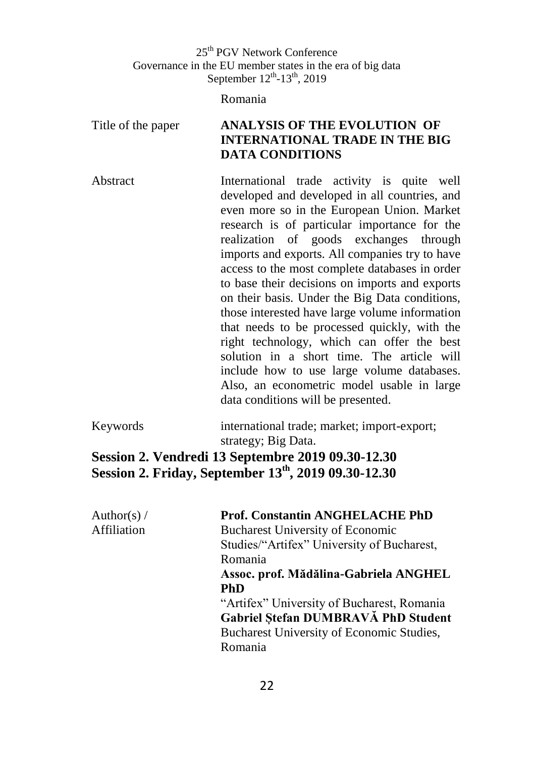Romania

### Title of the paper **ANALYSIS OF THE EVOLUTION OF INTERNATIONAL TRADE IN THE BIG DATA CONDITIONS**

Abstract **International** trade activity is quite well developed and developed in all countries, and even more so in the European Union. Market research is of particular importance for the realization of goods exchanges through imports and exports. All companies try to have access to the most complete databases in order to base their decisions on imports and exports on their basis. Under the Big Data conditions, those interested have large volume information that needs to be processed quickly, with the right technology, which can offer the best solution in a short time. The article will include how to use large volume databases. Also, an econometric model usable in large data conditions will be presented.

Keywords international trade; market; import-export; strategy; Big Data.

### **Session 2. Vendredi 13 Septembre 2019 09.30-12.30 Session 2. Friday, September 13 th, 2019 09.30-12.30**

| Author(s) $/$ | <b>Prof. Constantin ANGHELACHE PhD</b>     |
|---------------|--------------------------------------------|
| Affiliation   | <b>Bucharest University of Economic</b>    |
|               | Studies/"Artifex" University of Bucharest, |
|               | Romania                                    |
|               | Assoc. prof. Mădălina-Gabriela ANGHEL      |
|               | <b>PhD</b>                                 |
|               | "Artifex" University of Bucharest, Romania |
|               | Gabriel Stefan DUMBRAVĂ PhD Student        |
|               | Bucharest University of Economic Studies,  |
|               | Romania                                    |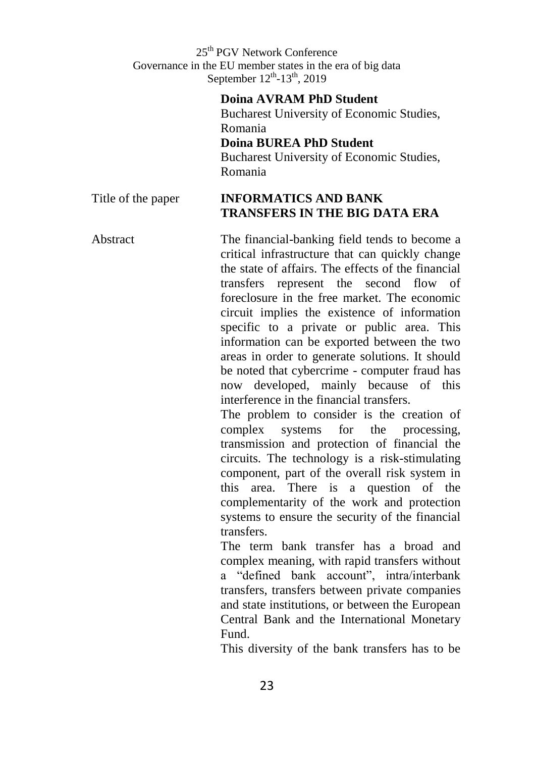#### **Doina AVRAM PhD Student**

Bucharest University of Economic Studies, Romania **Doina BUREA PhD Student** Bucharest University of Economic Studies,

Romania

#### Title of the paper **INFORMATICS AND BANK TRANSFERS IN THE BIG DATA ERA**

Abstract The financial-banking field tends to become a critical infrastructure that can quickly change the state of affairs. The effects of the financial transfers represent the second flow of foreclosure in the free market. The economic circuit implies the existence of information specific to a private or public area. This information can be exported between the two areas in order to generate solutions. It should be noted that cybercrime - computer fraud has now developed, mainly because of this interference in the financial transfers. The problem to consider is the creation of

complex systems for the processing, transmission and protection of financial the circuits. The technology is a risk-stimulating component, part of the overall risk system in this area. There is a question of the complementarity of the work and protection systems to ensure the security of the financial transfers.

The term bank transfer has a broad and complex meaning, with rapid transfers without a "defined bank account", intra/interbank transfers, transfers between private companies and state institutions, or between the European Central Bank and the International Monetary Fund.

This diversity of the bank transfers has to be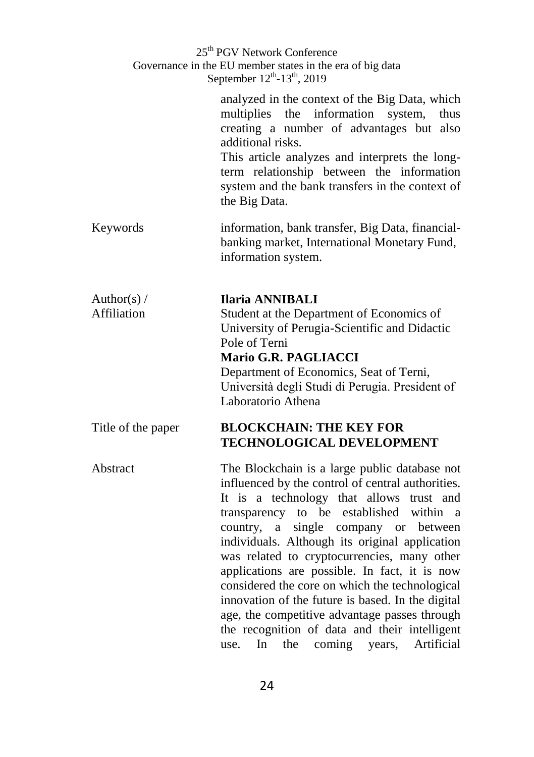|                              | 25 <sup>th</sup> PGV Network Conference<br>Governance in the EU member states in the era of big data<br>September 12 <sup>th</sup> -13 <sup>th</sup> , 2019                                                                                                                                                                                                                                                                                                                                                                                                                                                                                                            |
|------------------------------|------------------------------------------------------------------------------------------------------------------------------------------------------------------------------------------------------------------------------------------------------------------------------------------------------------------------------------------------------------------------------------------------------------------------------------------------------------------------------------------------------------------------------------------------------------------------------------------------------------------------------------------------------------------------|
|                              | analyzed in the context of the Big Data, which<br>the information<br>multiplies<br>system,<br>thus<br>creating a number of advantages but also<br>additional risks.<br>This article analyzes and interprets the long-<br>term relationship between the information<br>system and the bank transfers in the context of<br>the Big Data.                                                                                                                                                                                                                                                                                                                                 |
| Keywords                     | information, bank transfer, Big Data, financial-<br>banking market, International Monetary Fund,<br>information system.                                                                                                                                                                                                                                                                                                                                                                                                                                                                                                                                                |
| Author(s) $/$<br>Affiliation | <b>Ilaria ANNIBALI</b><br>Student at the Department of Economics of<br>University of Perugia-Scientific and Didactic<br>Pole of Terni<br>Mario G.R. PAGLIACCI<br>Department of Economics, Seat of Terni,<br>Università degli Studi di Perugia. President of<br>Laboratorio Athena                                                                                                                                                                                                                                                                                                                                                                                      |
| Title of the paper           | <b>BLOCKCHAIN: THE KEY FOR</b><br><b>TECHNOLOGICAL DEVELOPMENT</b>                                                                                                                                                                                                                                                                                                                                                                                                                                                                                                                                                                                                     |
| Abstract                     | The Blockchain is a large public database not<br>influenced by the control of central authorities.<br>a technology that allows<br>It is<br>trust and<br>transparency to be established<br>within<br>a.<br>single company or between<br>country,<br>a<br>individuals. Although its original application<br>was related to cryptocurrencies, many other<br>applications are possible. In fact, it is now<br>considered the core on which the technological<br>innovation of the future is based. In the digital<br>age, the competitive advantage passes through<br>the recognition of data and their intelligent<br>Artificial<br>In<br>the<br>coming<br>use.<br>years, |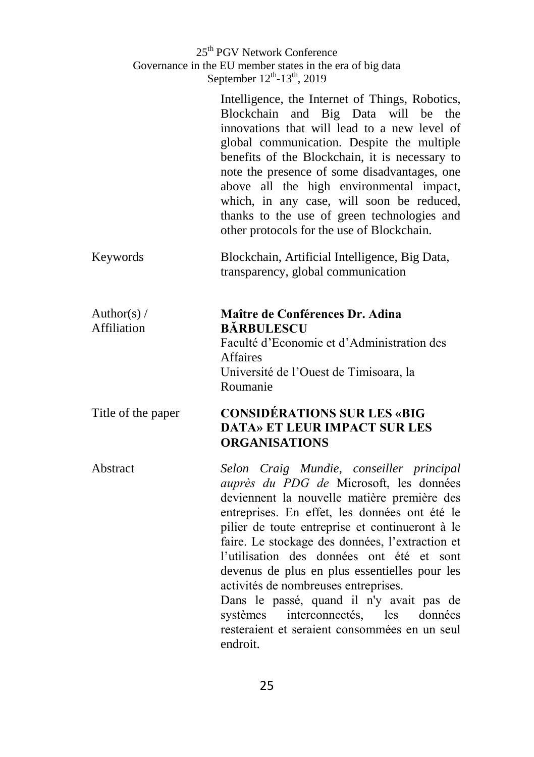|                              | Intelligence, the Internet of Things, Robotics,<br>Blockchain and Big Data will be the<br>innovations that will lead to a new level of<br>global communication. Despite the multiple<br>benefits of the Blockchain, it is necessary to<br>note the presence of some disadvantages, one<br>above all the high environmental impact,<br>which, in any case, will soon be reduced,<br>thanks to the use of green technologies and<br>other protocols for the use of Blockchain. |
|------------------------------|------------------------------------------------------------------------------------------------------------------------------------------------------------------------------------------------------------------------------------------------------------------------------------------------------------------------------------------------------------------------------------------------------------------------------------------------------------------------------|
| Keywords                     | Blockchain, Artificial Intelligence, Big Data,<br>transparency, global communication                                                                                                                                                                                                                                                                                                                                                                                         |
| Author(s) $/$<br>Affiliation | Maître de Conférences Dr. Adina<br><b>BÅRBULESCU</b><br>Faculté d'Economie et d'Administration des<br><b>Affaires</b><br>Université de l'Ouest de Timisoara, la<br>Roumanie                                                                                                                                                                                                                                                                                                  |
| Title of the paper           | <b>CONSIDÉRATIONS SUR LES «BIG</b><br><b>DATA» ET LEUR IMPACT SUR LES</b><br><b>ORGANISATIONS</b>                                                                                                                                                                                                                                                                                                                                                                            |
| Abstract                     | Selon Craig Mundie, conseiller principal<br>auprès du PDG de Microsoft, les données<br>deviennent la nouvelle matière première des<br>entreprises. En effet, les données ont été le<br>pilier de toute entreprise et continueront à le<br>faire. Le stockage des données. l'extraction et                                                                                                                                                                                    |

entreprises. En effet, les données ont été le pilier de toute entreprise et continueront à le faire. Le stockage des données, l'extraction et l'utilisation des données ont été et sont devenus de plus en plus essentielles pour les activités de nombreuses entreprises. Dans le passé, quand il n'y avait pas de

systèmes interconnectés, les données resteraient et seraient consommées en un seul endroit.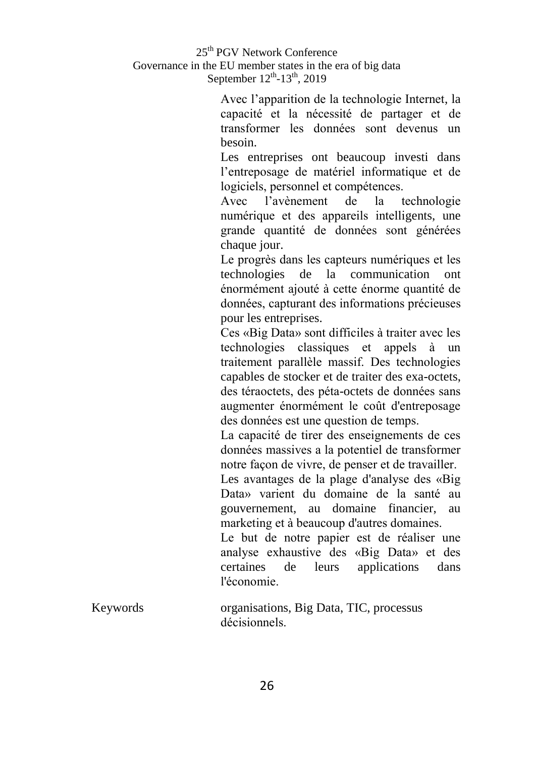Avec l'apparition de la technologie Internet, la capacité et la nécessité de partager et de transformer les données sont devenus un besoin.

Les entreprises ont beaucoup investi dans l'entreposage de matériel informatique et de logiciels, personnel et compétences.

Avec l'avènement de la technologie numérique et des appareils intelligents, une grande quantité de données sont générées chaque jour.

Le progrès dans les capteurs numériques et les technologies de la communication ont énormément ajouté à cette énorme quantité de données, capturant des informations précieuses pour les entreprises.

Ces «Big Data» sont difficiles à traiter avec les technologies classiques et appels à un traitement parallèle massif. Des technologies capables de stocker et de traiter des exa-octets, des téraoctets, des péta-octets de données sans augmenter énormément le coût d'entreposage des données est une question de temps.

La capacité de tirer des enseignements de ces données massives a la potentiel de transformer notre façon de vivre, de penser et de travailler.

Les avantages de la plage d'analyse des «Big Data» varient du domaine de la santé au gouvernement, au domaine financier, au marketing et à beaucoup d'autres domaines.

Le but de notre papier est de réaliser une analyse exhaustive des «Big Data» et des certaines de leurs applications dans l'économie.

| Keywords | organisations, Big Data, TIC, processus |
|----------|-----------------------------------------|
|          | décisionnels.                           |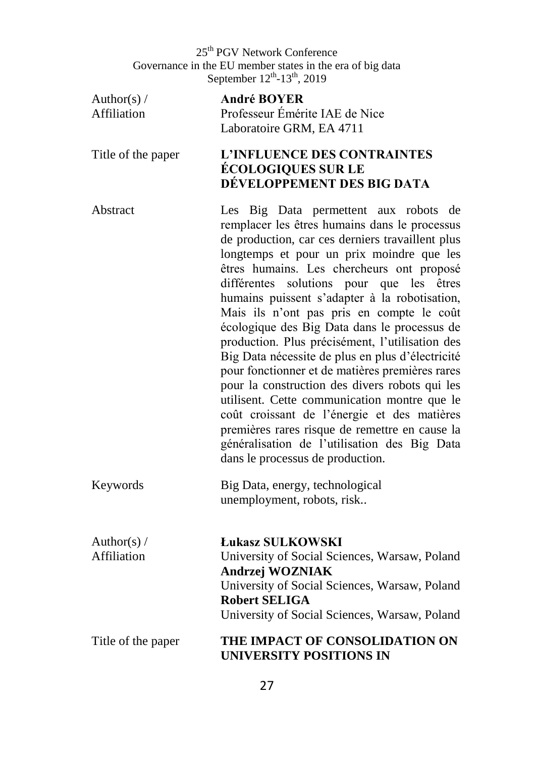Author(s)  $/$ Affiliation **André BOYER** Professeur Émérite IAE de Nice Laboratoire GRM, EA 4711 Title of the paper **L'INFLUENCE DES CONTRAINTES ÉCOLOGIQUES SUR LE DÉVELOPPEMENT DES BIG DATA** Abstract Les Big Data permettent aux robots de remplacer les êtres humains dans le processus de production, car ces derniers travaillent plus longtemps et pour un prix moindre que les êtres humains. Les chercheurs ont proposé différentes solutions pour que les êtres humains puissent s'adapter à la robotisation, Mais ils n'ont pas pris en compte le coût écologique des Big Data dans le processus de production. Plus précisément, l'utilisation des Big Data nécessite de plus en plus d'électricité pour fonctionner et de matières premières rares pour la construction des divers robots qui les utilisent. Cette communication montre que le coût croissant de l'énergie et des matières premières rares risque de remettre en cause la généralisation de l'utilisation des Big Data dans le processus de production. Keywords Big Data, energy, technological unemployment, robots, risk.. Author(s)  $/$ Affiliation **Łukasz SULKOWSKI** University of Social Sciences, Warsaw, Poland **Andrzej WOZNIAK** University of Social Sciences, Warsaw, Poland **Robert SELIGA**

#### Title of the paper **THE IMPACT OF CONSOLIDATION ON UNIVERSITY POSITIONS IN**

University of Social Sciences, Warsaw, Poland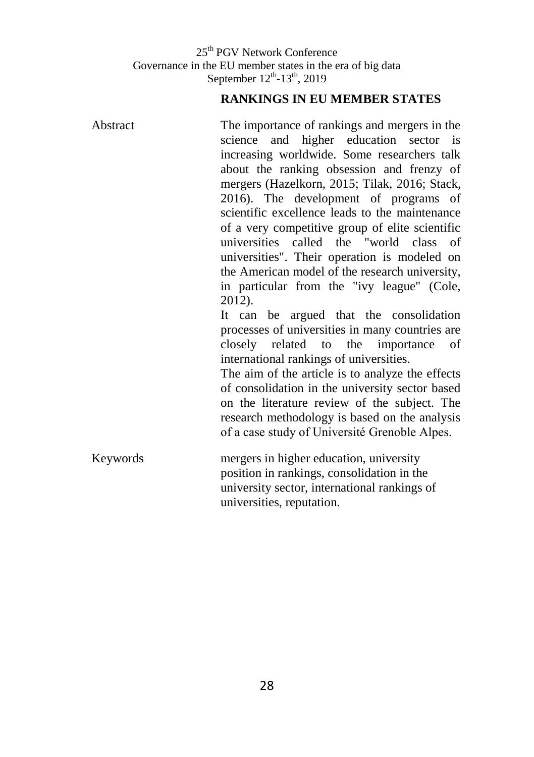### **RANKINGS IN EU MEMBER STATES**

| Abstract | The importance of rankings and mergers in the    |
|----------|--------------------------------------------------|
|          | and higher education sector is<br>science        |
|          | increasing worldwide. Some researchers talk      |
|          | about the ranking obsession and frenzy of        |
|          | mergers (Hazelkorn, 2015; Tilak, 2016; Stack,    |
|          | 2016). The development of programs of            |
|          | scientific excellence leads to the maintenance   |
|          | of a very competitive group of elite scientific  |
|          | universities called the "world class of          |
|          | universities". Their operation is modeled on     |
|          | the American model of the research university,   |
|          | in particular from the "ivy league" (Cole,       |
|          | 2012).                                           |
|          | It can be argued that the consolidation          |
|          | processes of universities in many countries are  |
|          | closely related to the importance of             |
|          | international rankings of universities.          |
|          | The aim of the article is to analyze the effects |
|          | of consolidation in the university sector based  |
|          | on the literature review of the subject. The     |
|          | research methodology is based on the analysis    |
|          | of a case study of Université Grenoble Alpes.    |
|          |                                                  |
| Keywords | mergers in higher education, university          |
|          | position in rankings, consolidation in the       |
|          | university sector, international rankings of     |
|          | universities, reputation.                        |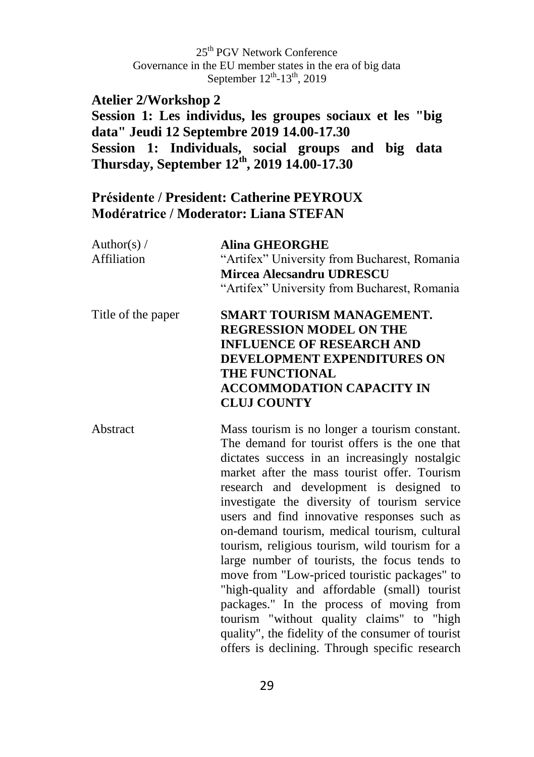### **Atelier 2/Workshop 2**

**Session 1: Les individus, les groupes sociaux et les "big data" Jeudi 12 Septembre 2019 14.00-17.30 Session 1: Individuals, social groups and big data Thursday, September 12th, 2019 14.00-17.30** 

### **Présidente / President: Catherine PEYROUX Modératrice / Moderator: Liana STEFAN**

| Author(s) $/$<br>Affiliation | <b>Alina GHEORGHE</b><br>"Artifex" University from Bucharest, Romania<br><b>Mircea Alecsandru UDRESCU</b><br>"Artifex" University from Bucharest, Romania                                                                                                                                                                                                                                                                                                                                                                                                                                                                                                                                                                                 |
|------------------------------|-------------------------------------------------------------------------------------------------------------------------------------------------------------------------------------------------------------------------------------------------------------------------------------------------------------------------------------------------------------------------------------------------------------------------------------------------------------------------------------------------------------------------------------------------------------------------------------------------------------------------------------------------------------------------------------------------------------------------------------------|
| Title of the paper           | SMART TOURISM MANAGEMENT.<br><b>REGRESSION MODEL ON THE</b><br><b>INFLUENCE OF RESEARCH AND</b><br><b>DEVELOPMENT EXPENDITURES ON</b><br>THE FUNCTIONAL<br><b>ACCOMMODATION CAPACITY IN</b><br><b>CLUJ COUNTY</b>                                                                                                                                                                                                                                                                                                                                                                                                                                                                                                                         |
| Abstract                     | Mass tourism is no longer a tourism constant.<br>The demand for tourist offers is the one that<br>dictates success in an increasingly nostalgic<br>market after the mass tourist offer. Tourism<br>research and development is designed to<br>investigate the diversity of tourism service<br>users and find innovative responses such as<br>on-demand tourism, medical tourism, cultural<br>tourism, religious tourism, wild tourism for a<br>large number of tourists, the focus tends to<br>move from "Low-priced touristic packages" to<br>"high-quality and affordable (small) tourist<br>packages." In the process of moving from<br>tourism "without quality claims" to "high<br>quality", the fidelity of the consumer of tourist |

offers is declining. Through specific research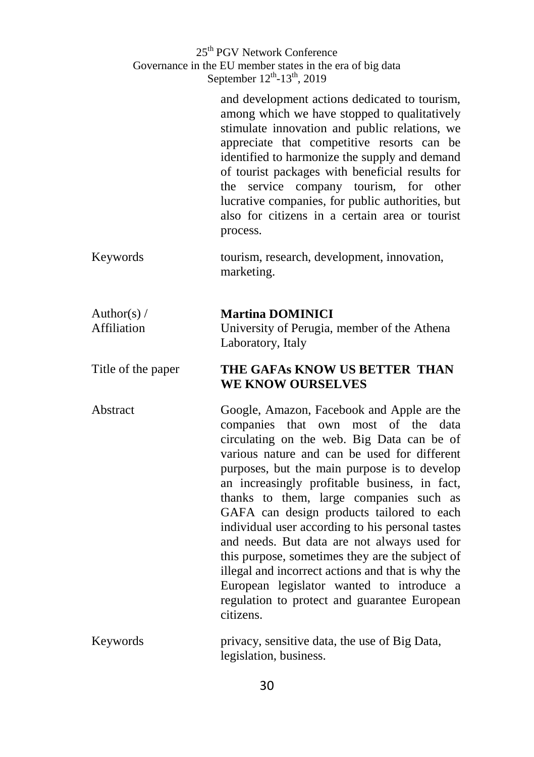> and development actions dedicated to tourism, among which we have stopped to qualitatively stimulate innovation and public relations, we appreciate that competitive resorts can be identified to harmonize the supply and demand of tourist packages with beneficial results for the service company tourism, for other lucrative companies, for public authorities, but also for citizens in a certain area or tourist process.

Keywords tourism, research, development, innovation, marketing.

#### Author(s)  $/$ Affiliation **Martina DOMINICI** University of Perugia, member of the Athena Laboratory, Italy

#### Title of the paper **THE GAFAs KNOW US BETTER THAN WE KNOW OURSELVES**

Abstract Google, Amazon, Facebook and Apple are the companies that own most of the data circulating on the web. Big Data can be of various nature and can be used for different purposes, but the main purpose is to develop an increasingly profitable business, in fact, thanks to them, large companies such as GAFA can design products tailored to each individual user according to his personal tastes and needs. But data are not always used for this purpose, sometimes they are the subject of illegal and incorrect actions and that is why the European legislator wanted to introduce a regulation to protect and guarantee European citizens.

Keywords privacy, sensitive data, the use of Big Data, legislation, business.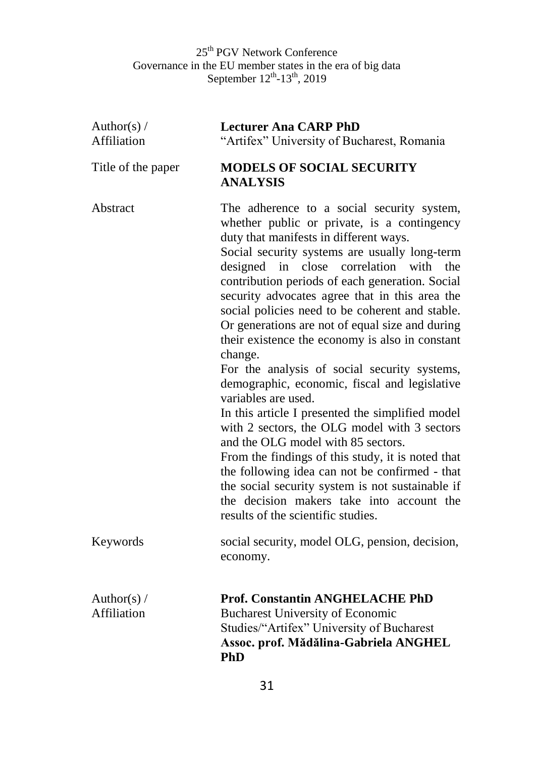| Author(s) $/$<br>Affiliation | <b>Lecturer Ana CARP PhD</b><br>"Artifex" University of Bucharest, Romania                                                                                                                                                                                                                                                                                                                                                                                                                                                                                                                                                                                                                                                                                                                                                                                                                                                                                                                                                          |
|------------------------------|-------------------------------------------------------------------------------------------------------------------------------------------------------------------------------------------------------------------------------------------------------------------------------------------------------------------------------------------------------------------------------------------------------------------------------------------------------------------------------------------------------------------------------------------------------------------------------------------------------------------------------------------------------------------------------------------------------------------------------------------------------------------------------------------------------------------------------------------------------------------------------------------------------------------------------------------------------------------------------------------------------------------------------------|
| Title of the paper           | <b>MODELS OF SOCIAL SECURITY</b><br><b>ANALYSIS</b>                                                                                                                                                                                                                                                                                                                                                                                                                                                                                                                                                                                                                                                                                                                                                                                                                                                                                                                                                                                 |
| Abstract                     | The adherence to a social security system,<br>whether public or private, is a contingency<br>duty that manifests in different ways.<br>Social security systems are usually long-term<br>close correlation<br>in<br>with<br>the<br>designed<br>contribution periods of each generation. Social<br>security advocates agree that in this area the<br>social policies need to be coherent and stable.<br>Or generations are not of equal size and during<br>their existence the economy is also in constant<br>change.<br>For the analysis of social security systems,<br>demographic, economic, fiscal and legislative<br>variables are used.<br>In this article I presented the simplified model<br>with 2 sectors, the OLG model with 3 sectors<br>and the OLG model with 85 sectors.<br>From the findings of this study, it is noted that<br>the following idea can not be confirmed - that<br>the social security system is not sustainable if<br>the decision makers take into account the<br>results of the scientific studies. |
| Keywords                     | social security, model OLG, pension, decision,<br>economy.                                                                                                                                                                                                                                                                                                                                                                                                                                                                                                                                                                                                                                                                                                                                                                                                                                                                                                                                                                          |
| Author(s) $/$<br>Affiliation | Prof. Constantin ANGHELACHE PhD<br><b>Bucharest University of Economic</b><br>Studies/"Artifex" University of Bucharest<br>Assoc. prof. Mădălina-Gabriela ANGHEL<br><b>PhD</b>                                                                                                                                                                                                                                                                                                                                                                                                                                                                                                                                                                                                                                                                                                                                                                                                                                                      |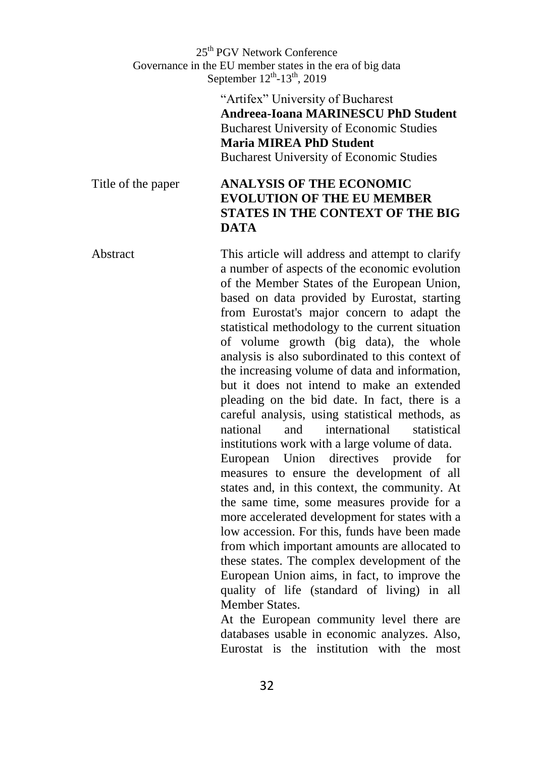> "Artifex" University of Bucharest **Andreea-Ioana MARINESCU PhD Student**  Bucharest University of Economic Studies **Maria MIREA PhD Student**  Bucharest University of Economic Studies

#### Title of the paper **ANALYSIS OF THE ECONOMIC EVOLUTION OF THE EU MEMBER STATES IN THE CONTEXT OF THE BIG DATA**

Abstract This article will address and attempt to clarify a number of aspects of the economic evolution of the Member States of the European Union, based on data provided by Eurostat, starting from Eurostat's major concern to adapt the statistical methodology to the current situation of volume growth (big data), the whole analysis is also subordinated to this context of the increasing volume of data and information, but it does not intend to make an extended pleading on the bid date. In fact, there is a careful analysis, using statistical methods, as national and international statistical institutions work with a large volume of data. European Union directives provide for measures to ensure the development of all states and, in this context, the community. At the same time, some measures provide for a

> more accelerated development for states with a low accession. For this, funds have been made from which important amounts are allocated to these states. The complex development of the European Union aims, in fact, to improve the quality of life (standard of living) in all Member States.

> At the European community level there are databases usable in economic analyzes. Also, Eurostat is the institution with the most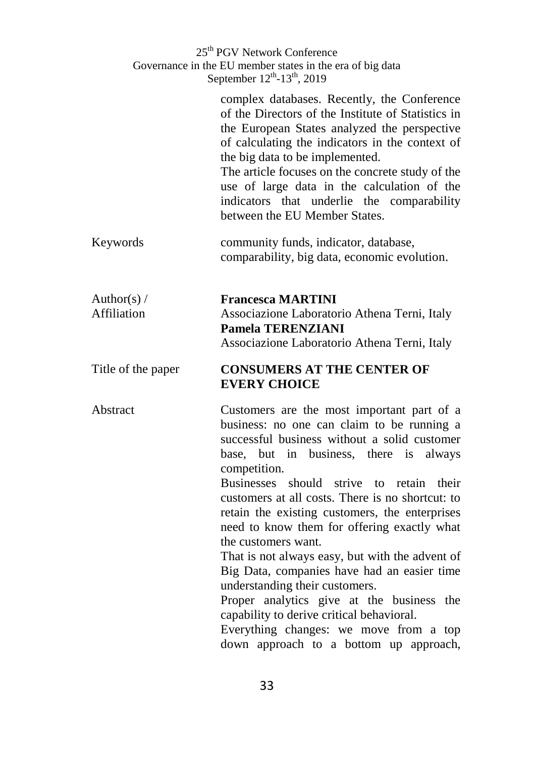|                              | 25 <sup>th</sup> PGV Network Conference<br>Governance in the EU member states in the era of big data<br>September 12 <sup>th</sup> -13 <sup>th</sup> , 2019                                                                                                                                                                                                                                                                                                                                                                                                                                                                                                                                                                                           |
|------------------------------|-------------------------------------------------------------------------------------------------------------------------------------------------------------------------------------------------------------------------------------------------------------------------------------------------------------------------------------------------------------------------------------------------------------------------------------------------------------------------------------------------------------------------------------------------------------------------------------------------------------------------------------------------------------------------------------------------------------------------------------------------------|
|                              | complex databases. Recently, the Conference<br>of the Directors of the Institute of Statistics in<br>the European States analyzed the perspective<br>of calculating the indicators in the context of<br>the big data to be implemented.<br>The article focuses on the concrete study of the<br>use of large data in the calculation of the<br>indicators that underlie the comparability<br>between the EU Member States.                                                                                                                                                                                                                                                                                                                             |
| Keywords                     | community funds, indicator, database,<br>comparability, big data, economic evolution.                                                                                                                                                                                                                                                                                                                                                                                                                                                                                                                                                                                                                                                                 |
| Author(s) $/$<br>Affiliation | <b>Francesca MARTINI</b><br>Associazione Laboratorio Athena Terni, Italy<br><b>Pamela TERENZIANI</b><br>Associazione Laboratorio Athena Terni, Italy                                                                                                                                                                                                                                                                                                                                                                                                                                                                                                                                                                                                  |
| Title of the paper           | <b>CONSUMERS AT THE CENTER OF</b><br><b>EVERY CHOICE</b>                                                                                                                                                                                                                                                                                                                                                                                                                                                                                                                                                                                                                                                                                              |
| Abstract                     | Customers are the most important part of a<br>business: no one can claim to be running a<br>successful business without a solid customer<br>base, but in business, there is<br>always<br>competition.<br>Businesses should<br>strive to retain<br>their<br>customers at all costs. There is no shortcut: to<br>retain the existing customers, the enterprises<br>need to know them for offering exactly what<br>the customers want.<br>That is not always easy, but with the advent of<br>Big Data, companies have had an easier time<br>understanding their customers.<br>Proper analytics give at the business the<br>capability to derive critical behavioral.<br>Everything changes: we move from a top<br>down approach to a bottom up approach, |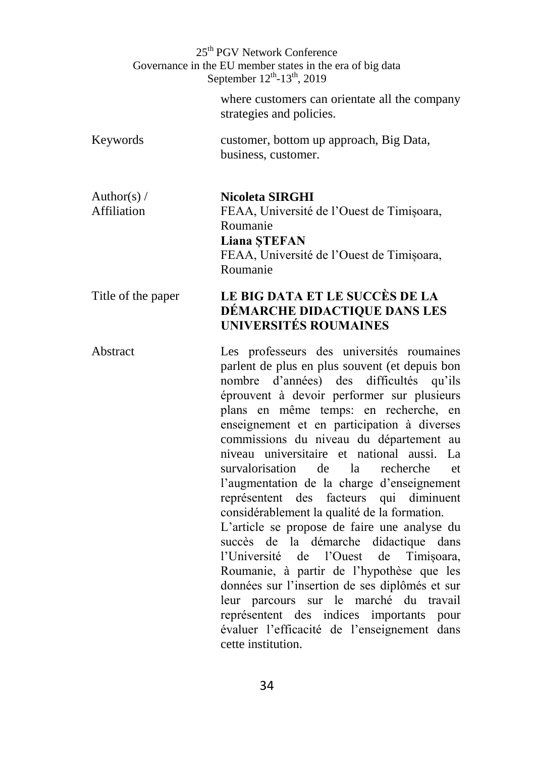> where customers can orientate all the company strategies and policies.

Keywords customer, bottom up approach, Big Data, business, customer.

Author(s)  $/$ Affiliation

**Nicoleta SIRGHI** FEAA, Université de l'Ouest de Timișoara, Roumanie

**Liana ȘTEFAN**

FEAA, Université de l'Ouest de Timișoara, Roumanie

### Title of the paper **LE BIG DATA ET LE SUCCÈS DE LA DÉMARCHE DIDACTIQUE DANS LES UNIVERSITÉS ROUMAINES**

Abstract Les professeurs des universités roumaines parlent de plus en plus souvent (et depuis bon nombre d'années) des difficultés qu'ils éprouvent à devoir performer sur plusieurs plans en même temps: en recherche, en enseignement et en participation à diverses commissions du niveau du département au niveau universitaire et national aussi. La survalorisation de la recherche et l'augmentation de la charge d'enseignement représentent des facteurs qui diminuent considérablement la qualité de la formation. L'article se propose de faire une analyse du succès de la démarche didactique dans l'Université de l'Ouest de Timișoara, Roumanie, à partir de l'hypothèse que les données sur l'insertion de ses diplômés et sur leur parcours sur le marché du travail représentent des indices importants pour évaluer l'efficacité de l'enseignement dans

cette institution.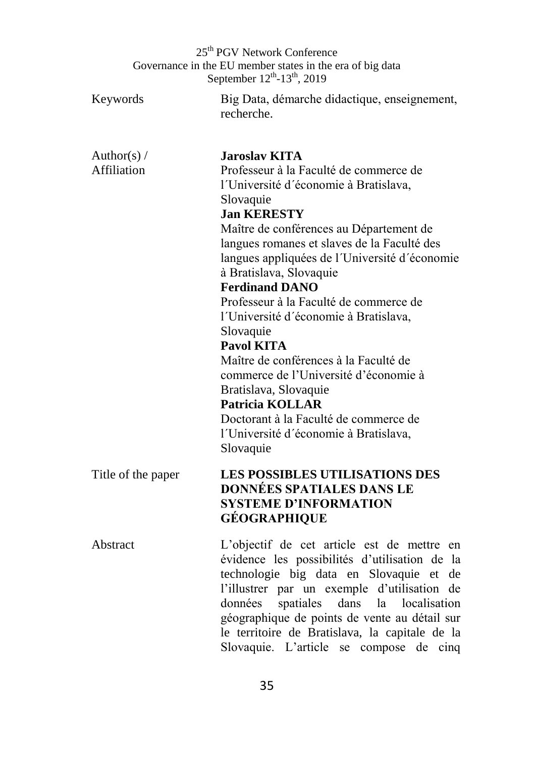|                              | 25 <sup>th</sup> PGV Network Conference<br>Governance in the EU member states in the era of big data<br>September 12 <sup>th</sup> -13 <sup>th</sup> , 2019                                                                                                                                                                                                                                                                                                                                                                                                                                                                                                                                        |
|------------------------------|----------------------------------------------------------------------------------------------------------------------------------------------------------------------------------------------------------------------------------------------------------------------------------------------------------------------------------------------------------------------------------------------------------------------------------------------------------------------------------------------------------------------------------------------------------------------------------------------------------------------------------------------------------------------------------------------------|
| Keywords                     | Big Data, démarche didactique, enseignement,<br>recherche.                                                                                                                                                                                                                                                                                                                                                                                                                                                                                                                                                                                                                                         |
| Author(s) $/$<br>Affiliation | <b>Jaroslav KITA</b><br>Professeur à la Faculté de commerce de<br>l'Université d'économie à Bratislava,<br>Slovaquie<br><b>Jan KERESTY</b><br>Maître de conférences au Département de<br>langues romanes et slaves de la Faculté des<br>langues appliquées de l'Université d'économie<br>à Bratislava, Slovaquie<br><b>Ferdinand DANO</b><br>Professeur à la Faculté de commerce de<br>l'Université d'économie à Bratislava,<br>Slovaquie<br><b>Pavol KITA</b><br>Maître de conférences à la Faculté de<br>commerce de l'Université d'économie à<br>Bratislava, Slovaquie<br><b>Patricia KOLLAR</b><br>Doctorant à la Faculté de commerce de<br>l'Université d'économie à Bratislava,<br>Slovaquie |
| Title of the paper           | LES POSSIBLES UTILISATIONS DES<br><b>DONNÉES SPATIALES DANS LE</b><br><b>SYSTEME D'INFORMATION</b><br><b>GÉOGRAPHIQUE</b>                                                                                                                                                                                                                                                                                                                                                                                                                                                                                                                                                                          |
| Abstract                     | L'objectif de cet article est de mettre en<br>évidence les possibilités d'utilisation de la<br>technologie big data en Slovaquie et<br>de<br>l'illustrer par un exemple d'utilisation<br>de<br>spatiales dans la localisation<br>données<br>géographique de points de vente au détail sur<br>le territoire de Bratislava, la capitale de la<br>Slovaquie. L'article se compose de cinq                                                                                                                                                                                                                                                                                                             |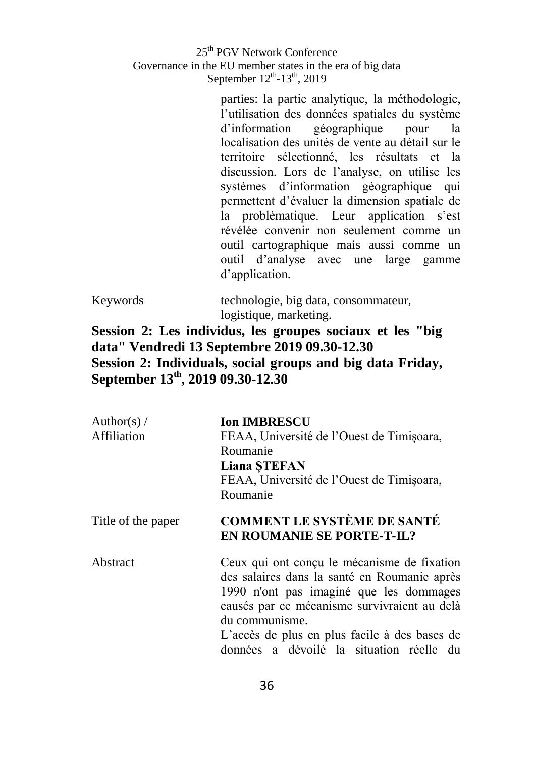> parties: la partie analytique, la méthodologie, l'utilisation des données spatiales du système d'information géographique pour la localisation des unités de vente au détail sur le territoire sélectionné, les résultats et la discussion. Lors de l'analyse, on utilise les systèmes d'information géographique qui permettent d'évaluer la dimension spatiale de la problématique. Leur application s'est révélée convenir non seulement comme un outil cartographique mais aussi comme un outil d'analyse avec une large gamme d'application.

| Keywords | technologie, big data, consommateur, |
|----------|--------------------------------------|
|          | logistique, marketing.               |

### **Session 2: Les individus, les groupes sociaux et les "big data" Vendredi 13 Septembre 2019 09.30-12.30 Session 2: Individuals, social groups and big data Friday, September 13 th, 2019 09.30-12.30**

| Author(s) $/$<br>Affiliation | <b>Ion IMBRESCU</b><br>FEAA, Université de l'Ouest de Timișoara,<br>Roumanie<br><b>Liana STEFAN</b><br>FEAA, Université de l'Ouest de Timișoara,<br>Roumanie                                                                                                                                          |
|------------------------------|-------------------------------------------------------------------------------------------------------------------------------------------------------------------------------------------------------------------------------------------------------------------------------------------------------|
| Title of the paper           | <b>COMMENT LE SYSTÈME DE SANTÉ</b><br><b>EN ROUMANIE SE PORTE-T-IL?</b>                                                                                                                                                                                                                               |
| Abstract                     | Ceux qui ont conçu le mécanisme de fixation<br>des salaires dans la santé en Roumanie après<br>1990 n'ont pas imaginé que les dommages<br>causés par ce mécanisme survivraient au delà<br>du communisme.<br>L'accès de plus en plus facile à des bases de<br>données a dévoilé la situation réelle du |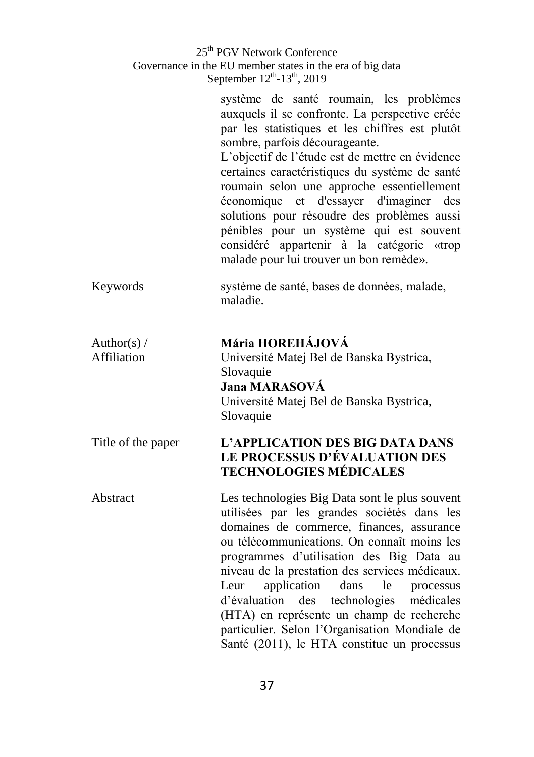|                              | 25 <sup>th</sup> PGV Network Conference<br>Governance in the EU member states in the era of big data<br>September $12^{th}$ -13 <sup>th</sup> , 2019                                                                                                                                                                                                                                                                                                                                                                                                           |
|------------------------------|----------------------------------------------------------------------------------------------------------------------------------------------------------------------------------------------------------------------------------------------------------------------------------------------------------------------------------------------------------------------------------------------------------------------------------------------------------------------------------------------------------------------------------------------------------------|
|                              | système de santé roumain, les problèmes<br>auxquels il se confronte. La perspective créée<br>par les statistiques et les chiffres est plutôt<br>sombre, parfois décourageante.<br>L'objectif de l'étude est de mettre en évidence<br>certaines caractéristiques du système de santé<br>roumain selon une approche essentiellement<br>économique et d'essayer d'imaginer des<br>solutions pour résoudre des problèmes aussi<br>pénibles pour un système qui est souvent<br>considéré appartenir à la catégorie «trop<br>malade pour lui trouver un bon remède». |
| Keywords                     | système de santé, bases de données, malade,<br>maladie.                                                                                                                                                                                                                                                                                                                                                                                                                                                                                                        |
| Author(s) $/$<br>Affiliation | Mária HOREHÁJOVÁ<br>Université Matej Bel de Banska Bystrica,<br>Slovaquie<br>Jana MARASOVÁ<br>Université Matej Bel de Banska Bystrica,<br>Slovaquie                                                                                                                                                                                                                                                                                                                                                                                                            |
| Title of the paper           | L'APPLICATION DES BIG DATA DANS<br>LE PROCESSUS D'ÉVALUATION DES<br><b>TECHNOLOGIES MÉDICALES</b>                                                                                                                                                                                                                                                                                                                                                                                                                                                              |
| Abstract                     | Les technologies Big Data sont le plus souvent<br>utilisées par les grandes sociétés dans les<br>domaines de commerce, finances, assurance<br>ou télécommunications. On connaît moins les<br>programmes d'utilisation des Big Data au<br>niveau de la prestation des services médicaux.<br>application dans<br>le<br>Leur<br>processus<br>technologies médicales<br>d'évaluation des<br>(HTA) en représente un champ de recherche<br>particulier. Selon l'Organisation Mondiale de<br>Santé (2011), le HTA constitue un processus                              |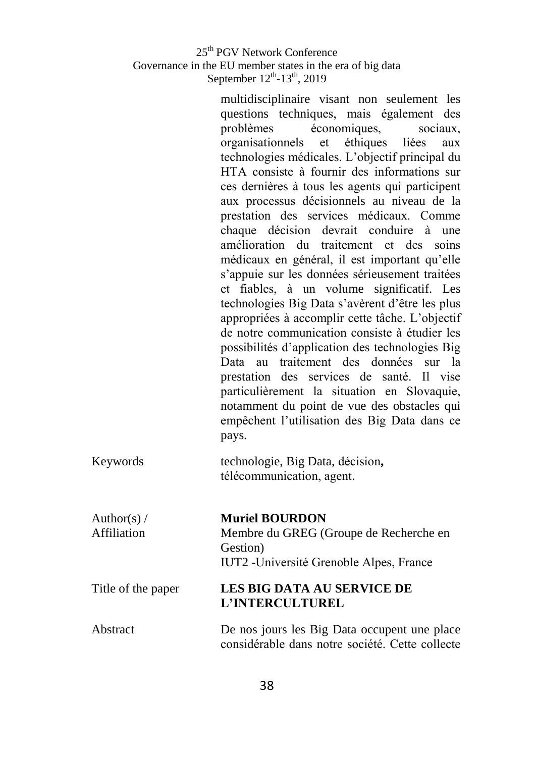multidisciplinaire visant non seulement les questions techniques, mais également des problèmes économiques, sociaux, organisationnels et éthiques liées aux technologies médicales. L'objectif principal du HTA consiste à fournir des informations sur ces dernières à tous les agents qui participent aux processus décisionnels au niveau de la prestation des services médicaux. Comme chaque décision devrait conduire à une amélioration du traitement et des soins médicaux en général, il est important qu'elle s'appuie sur les données sérieusement traitées et fiables, à un volume significatif. Les technologies Big Data s'avèrent d'être les plus appropriées à accomplir cette tâche. L'objectif de notre communication consiste à étudier les possibilités d'application des technologies Big Data au traitement des données sur la prestation des services de santé. Il vise particulièrement la situation en Slovaquie, notamment du point de vue des obstacles qui empêchent l'utilisation des Big Data dans ce pays.

| Keywords | technologie, Big Data, décision, |
|----------|----------------------------------|
|          | télécommunication, agent.        |

| Author(s) $/$      | <b>Muriel BOURDON</b>                                |
|--------------------|------------------------------------------------------|
| Affiliation        | Membre du GREG (Groupe de Recherche en               |
|                    | Gestion)                                             |
|                    | IUT2 - Université Grenoble Alpes, France             |
| Title of the paper | <b>LES BIG DATA AU SERVICE DE</b><br>L'INTERCULTUREL |

Abstract De nos jours les Big Data occupent une place considérable dans notre société. Cette collecte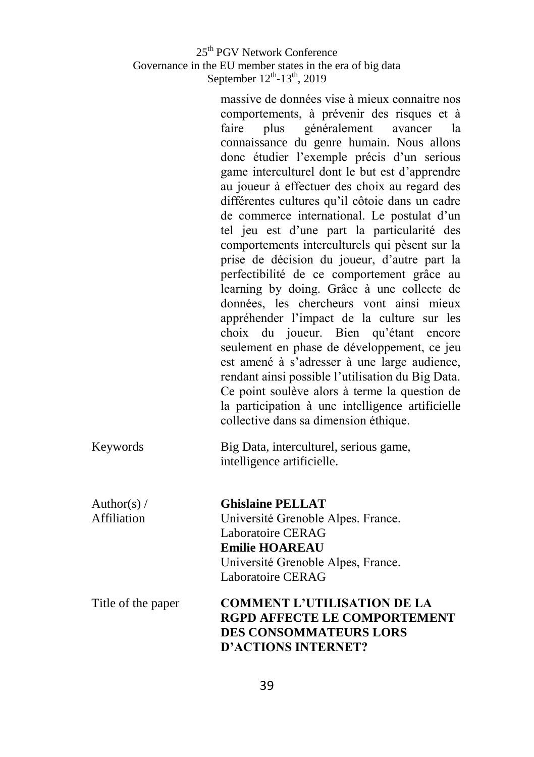massive de données vise à mieux connaitre nos comportements, à prévenir des risques et à faire plus généralement avancer la connaissance du genre humain. Nous allons donc étudier l'exemple précis d'un serious game interculturel dont le but est d'apprendre au joueur à effectuer des choix au regard des différentes cultures qu'il côtoie dans un cadre de commerce international. Le postulat d'un tel jeu est d'une part la particularité des comportements interculturels qui pèsent sur la prise de décision du joueur, d'autre part la perfectibilité de ce comportement grâce au learning by doing. Grâce à une collecte de données, les chercheurs vont ainsi mieux appréhender l'impact de la culture sur les choix du joueur. Bien qu'étant encore seulement en phase de développement, ce jeu est amené à s'adresser à une large audience, rendant ainsi possible l'utilisation du Big Data. Ce point soulève alors à terme la question de la participation à une intelligence artificielle collective dans sa dimension éthique.

#### Keywords Big Data, interculturel, serious game, intelligence artificielle.

Author(s)  $/$ Affiliation

**Ghislaine PELLAT**  Université Grenoble Alpes. France. Laboratoire CERAG **Emilie HOAREAU** Université Grenoble Alpes, France. Laboratoire CERAG

Title of the paper **COMMENT L'UTILISATION DE LA RGPD AFFECTE LE COMPORTEMENT DES CONSOMMATEURS LORS D'ACTIONS INTERNET?**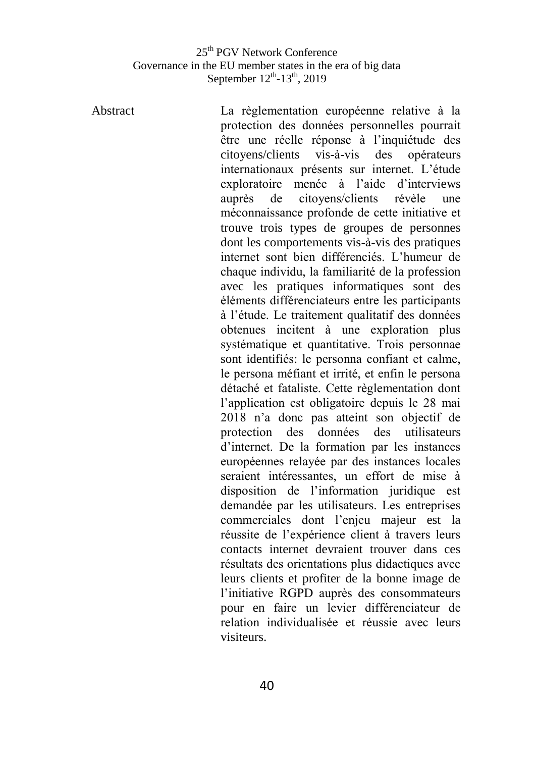Abstract La règlementation européenne relative à la protection des données personnelles pourrait être une réelle réponse à l'inquiétude des citoyens/clients vis-à-vis des opérateurs internationaux présents sur internet. L'étude exploratoire menée à l'aide d'interviews auprès de citoyens/clients révèle une méconnaissance profonde de cette initiative et trouve trois types de groupes de personnes dont les comportements vis-à-vis des pratiques internet sont bien différenciés. L'humeur de chaque individu, la familiarité de la profession avec les pratiques informatiques sont des éléments différenciateurs entre les participants à l'étude. Le traitement qualitatif des données obtenues incitent à une exploration plus systématique et quantitative. Trois personnae sont identifiés: le personna confiant et calme, le persona méfiant et irrité, et enfin le persona détaché et fataliste. Cette règlementation dont l'application est obligatoire depuis le 28 mai 2018 n'a donc pas atteint son objectif de protection des données des utilisateurs d'internet. De la formation par les instances européennes relayée par des instances locales seraient intéressantes, un effort de mise à disposition de l'information juridique est demandée par les utilisateurs. Les entreprises commerciales dont l'enjeu majeur est la réussite de l'expérience client à travers leurs contacts internet devraient trouver dans ces résultats des orientations plus didactiques avec leurs clients et profiter de la bonne image de l'initiative RGPD auprès des consommateurs pour en faire un levier différenciateur de relation individualisée et réussie avec leurs visiteurs.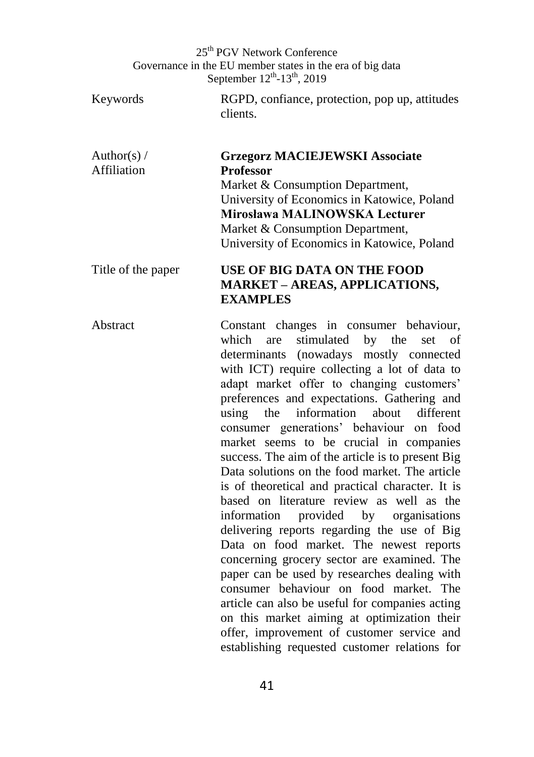Keywords RGPD, confiance, protection, pop up, attitudes clients.

Author(s) / Affiliation **Grzegorz MACIEJEWSKI Associate Professor** Market & Consumption Department, University of Economics in Katowice, Poland **Mirosława MALINOWSKA Lecturer** Market & Consumption Department. University of Economics in Katowice, Poland

### Title of the paper **USE OF BIG DATA ON THE FOOD MARKET – AREAS, APPLICATIONS, EXAMPLES**

Abstract Constant changes in consumer behaviour, which are stimulated by the set of determinants (nowadays mostly connected with ICT) require collecting a lot of data to adapt market offer to changing customers' preferences and expectations. Gathering and using the information about different consumer generations' behaviour on food market seems to be crucial in companies success. The aim of the article is to present Big Data solutions on the food market. The article is of theoretical and practical character. It is based on literature review as well as the information provided by organisations delivering reports regarding the use of Big Data on food market. The newest reports concerning grocery sector are examined. The paper can be used by researches dealing with consumer behaviour on food market. The article can also be useful for companies acting on this market aiming at optimization their offer, improvement of customer service and establishing requested customer relations for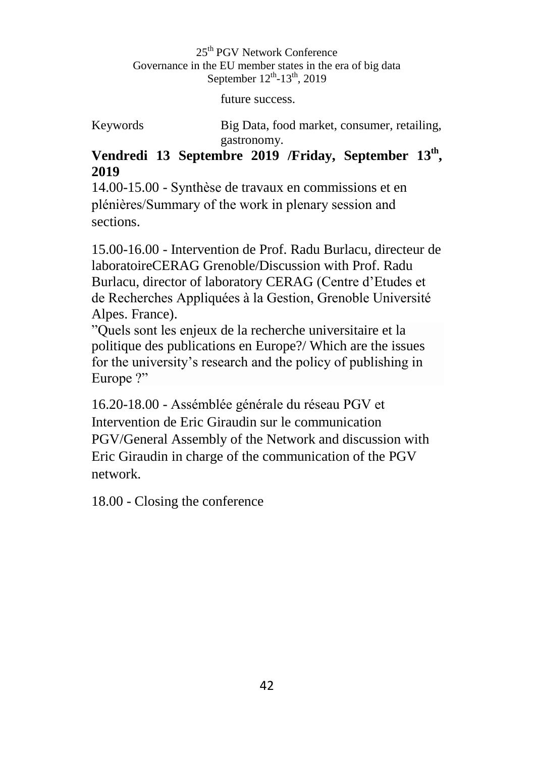future success.

Keywords Big Data, food market, consumer, retailing, gastronomy.

### Vendredi 13 Septembre 2019 /Friday, September 13<sup>th</sup>, **2019**

14.00-15.00 - Synthèse de travaux en commissions et en plénières/Summary of the work in plenary session and sections.

15.00-16.00 - Intervention de Prof. Radu Burlacu, directeur de laboratoireCERAG Grenoble/Discussion with Prof. Radu Burlacu, director of laboratory CERAG (Centre d'Etudes et de Recherches Appliquées à la Gestion, Grenoble Université Alpes. France).

"Quels sont les enjeux de la recherche universitaire et la politique des publications en Europe?/ Which are the issues for the university's research and the policy of publishing in Europe ?"

16.20-18.00 - Assémblée générale du réseau PGV et Intervention de Eric Giraudin sur le communication PGV/General Assembly of the Network and discussion with Eric Giraudin in charge of the communication of the PGV network.

18.00 - Closing the conference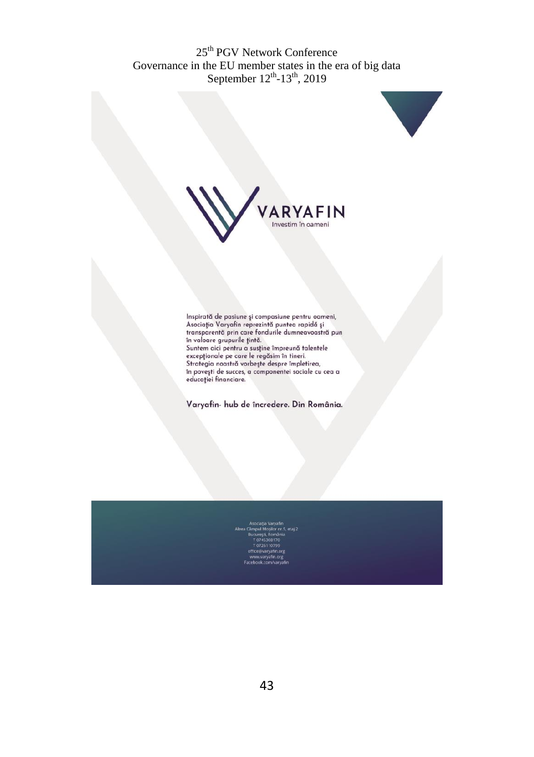